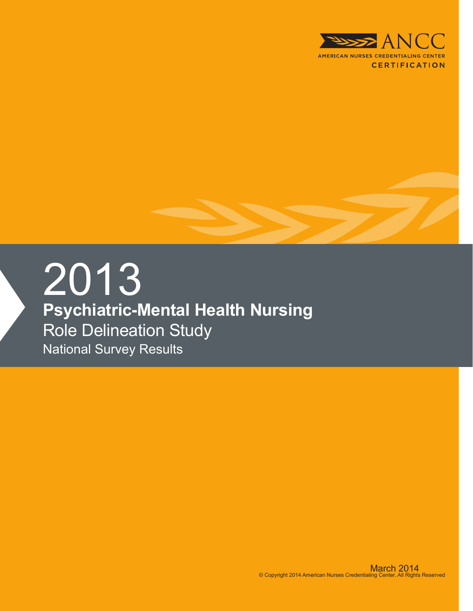

# 2013 **Psychiatric-Mental Health Nursing** Role Delineation Study National Survey Results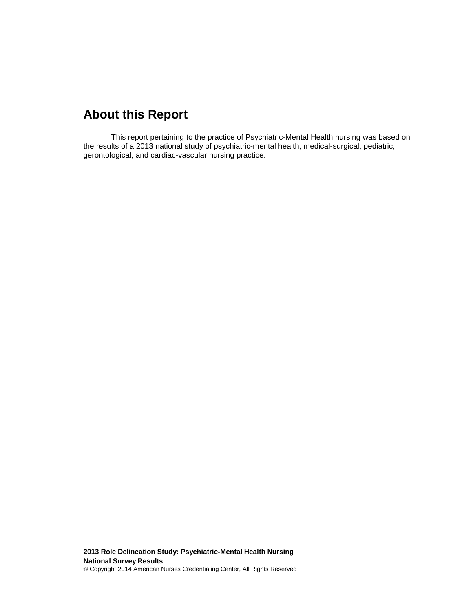## **About this Report**

This report pertaining to the practice of Psychiatric-Mental Health nursing was based on the results of a 2013 national study of psychiatric-mental health, medical-surgical, pediatric, gerontological, and cardiac-vascular nursing practice.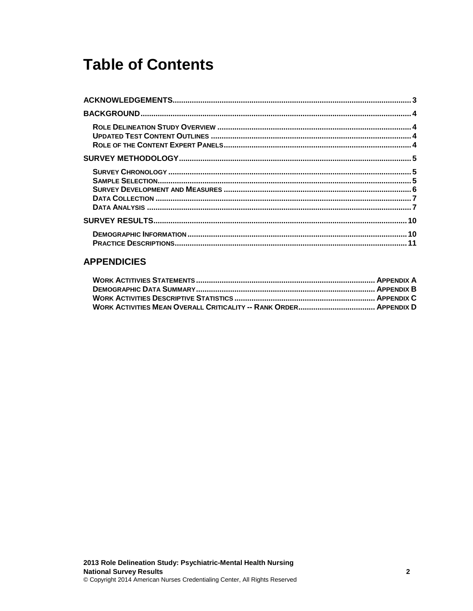## **Table of Contents**

#### **APPENDICIES**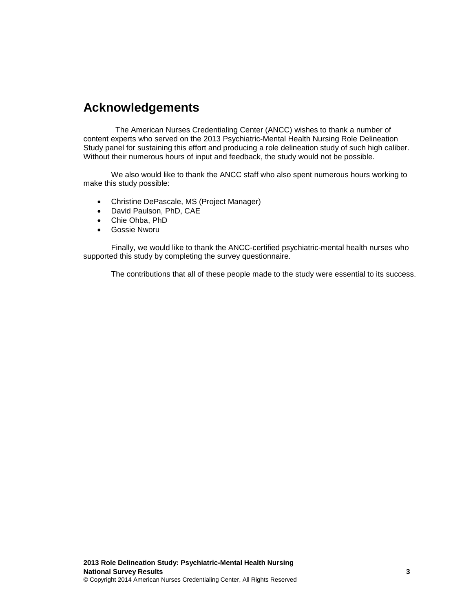## <span id="page-3-0"></span>**Acknowledgements**

 The American Nurses Credentialing Center (ANCC) wishes to thank a number of content experts who served on the 2013 Psychiatric-Mental Health Nursing Role Delineation Study panel for sustaining this effort and producing a role delineation study of such high caliber. Without their numerous hours of input and feedback, the study would not be possible.

We also would like to thank the ANCC staff who also spent numerous hours working to make this study possible:

- Christine DePascale, MS (Project Manager)
- David Paulson, PhD, CAE
- Chie Ohba, PhD
- Gossie Nworu

Finally, we would like to thank the ANCC-certified psychiatric-mental health nurses who supported this study by completing the survey questionnaire.

The contributions that all of these people made to the study were essential to its success.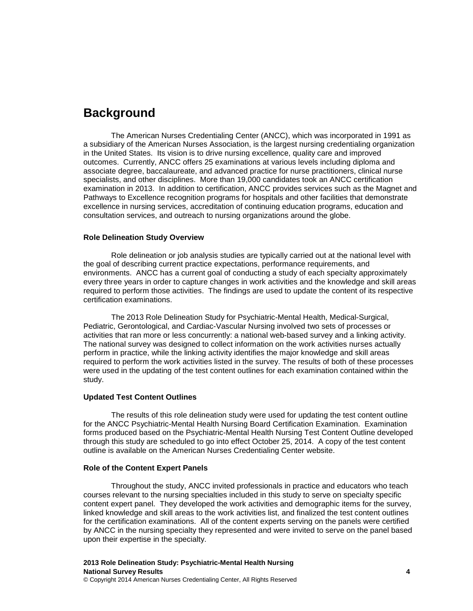## <span id="page-4-0"></span>**Background**

The American Nurses Credentialing Center (ANCC), which was incorporated in 1991 as a subsidiary of the American Nurses Association, is the largest nursing credentialing organization in the United States. Its vision is to drive nursing excellence, quality care and improved outcomes. Currently, ANCC offers 25 examinations at various levels including diploma and associate degree, baccalaureate, and advanced practice for nurse practitioners, clinical nurse specialists, and other disciplines. More than 19,000 candidates took an ANCC certification examination in 2013. In addition to certification, ANCC provides services such as the Magnet and Pathways to Excellence recognition programs for hospitals and other facilities that demonstrate excellence in nursing services, accreditation of continuing education programs, education and consultation services, and outreach to nursing organizations around the globe.

#### <span id="page-4-1"></span>**Role Delineation Study Overview**

Role delineation or job analysis studies are typically carried out at the national level with the goal of describing current practice expectations, performance requirements, and environments. ANCC has a current goal of conducting a study of each specialty approximately every three years in order to capture changes in work activities and the knowledge and skill areas required to perform those activities. The findings are used to update the content of its respective certification examinations.

The 2013 Role Delineation Study for Psychiatric-Mental Health, Medical-Surgical, Pediatric, Gerontological, and Cardiac-Vascular Nursing involved two sets of processes or activities that ran more or less concurrently: a national web-based survey and a linking activity. The national survey was designed to collect information on the work activities nurses actually perform in practice, while the linking activity identifies the major knowledge and skill areas required to perform the work activities listed in the survey. The results of both of these processes were used in the updating of the test content outlines for each examination contained within the study.

#### <span id="page-4-2"></span>**Updated Test Content Outlines**

The results of this role delineation study were used for updating the test content outline for the ANCC Psychiatric-Mental Health Nursing Board Certification Examination. Examination forms produced based on the Psychiatric-Mental Health Nursing Test Content Outline developed through this study are scheduled to go into effect October 25, 2014. A copy of the test content outline is available on the American Nurses Credentialing Center website.

#### <span id="page-4-3"></span>**Role of the Content Expert Panels**

Throughout the study, ANCC invited professionals in practice and educators who teach courses relevant to the nursing specialties included in this study to serve on specialty specific content expert panel. They developed the work activities and demographic items for the survey, linked knowledge and skill areas to the work activities list, and finalized the test content outlines for the certification examinations. All of the content experts serving on the panels were certified by ANCC in the nursing specialty they represented and were invited to serve on the panel based upon their expertise in the specialty.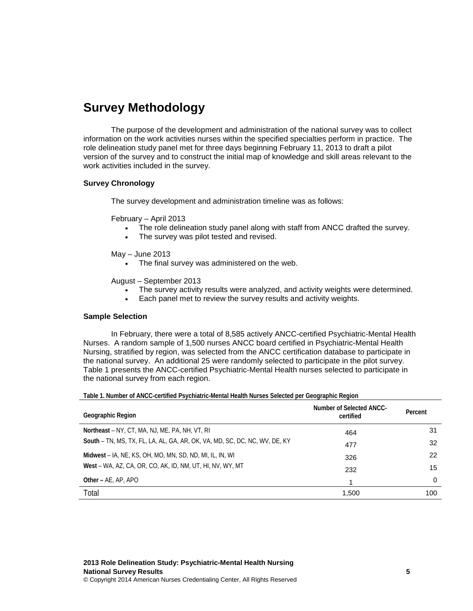## <span id="page-5-0"></span>**Survey Methodology**

The purpose of the development and administration of the national survey was to collect information on the work activities nurses within the specified specialties perform in practice. The role delineation study panel met for three days beginning February 11, 2013 to draft a pilot version of the survey and to construct the initial map of knowledge and skill areas relevant to the work activities included in the survey.

#### <span id="page-5-1"></span>**Survey Chronology**

The survey development and administration timeline was as follows:

#### February – April 2013

- The role delineation study panel along with staff from ANCC drafted the survey.
- The survey was pilot tested and revised.

May – June 2013

• The final survey was administered on the web.

August – September 2013

- The survey activity results were analyzed, and activity weights were determined.
- Each panel met to review the survey results and activity weights.

#### <span id="page-5-2"></span>**Sample Selection**

In February, there were a total of 8,585 actively ANCC-certified Psychiatric-Mental Health Nurses. A random sample of 1,500 nurses ANCC board certified in Psychiatric-Mental Health Nursing, stratified by region, was selected from the ANCC certification database to participate in the national survey. An additional 25 were randomly selected to participate in the pilot survey. Table 1 presents the ANCC-certified Psychiatric-Mental Health nurses selected to participate in the national survey from each region.

**Table 1. Number of ANCC-certified Psychiatric-Mental Health Nurses Selected per Geographic Region**

<span id="page-5-3"></span>

| Geographic Region                                                          | Number of Selected ANCC-<br>certified | Percent |
|----------------------------------------------------------------------------|---------------------------------------|---------|
| Northeast – NY, CT, MA, NJ, ME, PA, NH, VT, RI                             | 464                                   | 31      |
| South – TN, MS, TX, FL, LA, AL, GA, AR, OK, VA, MD, SC, DC, NC, WV, DE, KY | 477                                   | 32      |
| Midwest – IA, NE, KS, OH, MO, MN, SD, ND, MI, IL, IN, WI                   | 326                                   | 22      |
| West - WA, AZ, CA, OR, CO, AK, ID, NM, UT, HI, NV, WY, MT                  | 232                                   | 15      |
| Other – AE, AP, APO                                                        | 1                                     | 0       |
| Total                                                                      | 1,500                                 | 100     |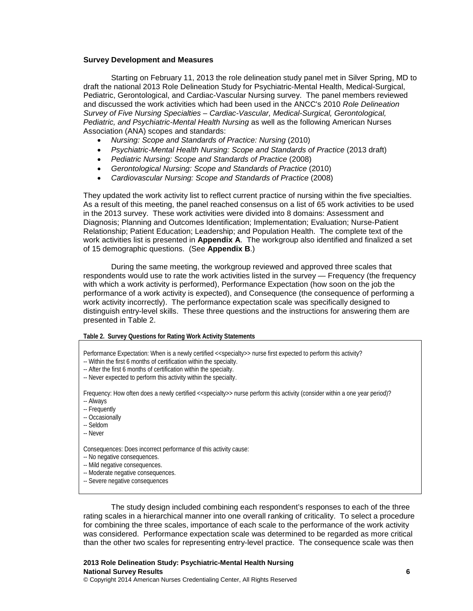#### **Survey Development and Measures**

Starting on February 11, 2013 the role delineation study panel met in Silver Spring, MD to draft the national 2013 Role Delineation Study for Psychiatric-Mental Health, Medical-Surgical, Pediatric, Gerontological, and Cardiac-Vascular Nursing survey. The panel members reviewed and discussed the work activities which had been used in the ANCC's 2010 *Role Delineation Survey of Five Nursing Specialties – Cardiac-Vascular, Medical-Surgical, Gerontological, Pediatric, and Psychiatric-Mental Health Nursing* as well as the following American Nurses Association (ANA) scopes and standards:

- *Nursing: Scope and Standards of Practice: Nursing* (2010)
- *Psychiatric-Mental Health Nursing: Scope and Standards of Practice* (2013 draft)
- *Pediatric Nursing: Scope and Standards of Practice* (2008)
- *Gerontological Nursing: Scope and Standards of Practice* (2010)
- *Cardiovascular Nursing: Scope and Standards of Practice* (2008)

They updated the work activity list to reflect current practice of nursing within the five specialties. As a result of this meeting, the panel reached consensus on a list of 65 work activities to be used in the 2013 survey. These work activities were divided into 8 domains: Assessment and Diagnosis; Planning and Outcomes Identification; Implementation; Evaluation; Nurse-Patient Relationship; Patient Education; Leadership; and Population Health. The complete text of the work activities list is presented in **Appendix A**. The workgroup also identified and finalized a set of 15 demographic questions. (See **Appendix B**.)

During the same meeting, the workgroup reviewed and approved three scales that respondents would use to rate the work activities listed in the survey — Frequency (the frequency with which a work activity is performed), Performance Expectation (how soon on the job the performance of a work activity is expected), and Consequence (the consequence of performing a work activity incorrectly). The performance expectation scale was specifically designed to distinguish entry-level skills. These three questions and the instructions for answering them are presented in Table 2.

#### **Table 2. Survey Questions for Rating Work Activity Statements**

Performance Expectation: When is a newly certified <<specialty>> nurse first expected to perform this activity?

- -- Within the first 6 months of certification within the specialty.
- -- After the first 6 months of certification within the specialty.
- -- Never expected to perform this activity within the specialty.

Frequency: How often does a newly certified <<specialty>> nurse perform this activity (consider within a one year period)?

- -- Always
- -- Frequently
- -- Occasionally
- -- Seldom
- -- Never

Consequences: Does incorrect performance of this activity cause:

- -- No negative consequences.
- -- Mild negative consequences.
- -- Moderate negative consequences.
- -- Severe negative consequences

The study design included combining each respondent's responses to each of the three rating scales in a hierarchical manner into one overall ranking of criticality. To select a procedure for combining the three scales, importance of each scale to the performance of the work activity was considered. Performance expectation scale was determined to be regarded as more critical than the other two scales for representing entry-level practice. The consequence scale was then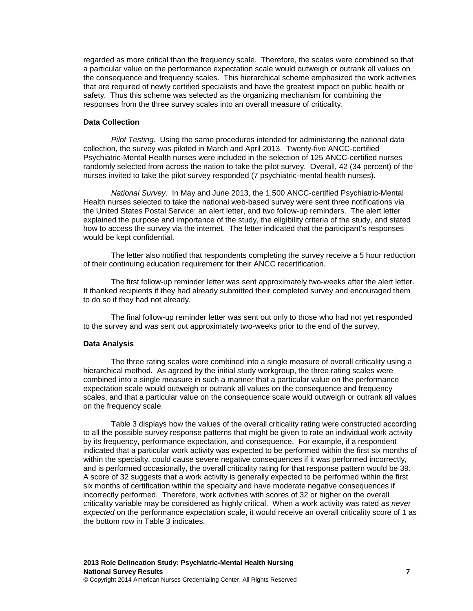regarded as more critical than the frequency scale. Therefore, the scales were combined so that a particular value on the performance expectation scale would outweigh or outrank all values on the consequence and frequency scales. This hierarchical scheme emphasized the work activities that are required of newly certified specialists and have the greatest impact on public health or safety. Thus this scheme was selected as the organizing mechanism for combining the responses from the three survey scales into an overall measure of criticality.

#### <span id="page-7-0"></span>**Data Collection**

*Pilot Testing*. Using the same procedures intended for administering the national data collection, the survey was piloted in March and April 2013. Twenty-five ANCC-certified Psychiatric-Mental Health nurses were included in the selection of 125 ANCC-certified nurses randomly selected from across the nation to take the pilot survey. Overall, 42 (34 percent) of the nurses invited to take the pilot survey responded (7 psychiatric-mental health nurses).

*National Survey*. In May and June 2013, the 1,500 ANCC-certified Psychiatric-Mental Health nurses selected to take the national web-based survey were sent three notifications via the United States Postal Service: an alert letter, and two follow-up reminders. The alert letter explained the purpose and importance of the study, the eligibility criteria of the study, and stated how to access the survey via the internet. The letter indicated that the participant's responses would be kept confidential.

The letter also notified that respondents completing the survey receive a 5 hour reduction of their continuing education requirement for their ANCC recertification.

The first follow-up reminder letter was sent approximately two-weeks after the alert letter. It thanked recipients if they had already submitted their completed survey and encouraged them to do so if they had not already.

The final follow-up reminder letter was sent out only to those who had not yet responded to the survey and was sent out approximately two-weeks prior to the end of the survey.

#### <span id="page-7-1"></span>**Data Analysis**

The three rating scales were combined into a single measure of overall criticality using a hierarchical method. As agreed by the initial study workgroup, the three rating scales were combined into a single measure in such a manner that a particular value on the performance expectation scale would outweigh or outrank all values on the consequence and frequency scales, and that a particular value on the consequence scale would outweigh or outrank all values on the frequency scale.

Table 3 displays how the values of the overall criticality rating were constructed according to all the possible survey response patterns that might be given to rate an individual work activity by its frequency, performance expectation, and consequence. For example, if a respondent indicated that a particular work activity was expected to be performed within the first six months of within the specialty, could cause severe negative consequences if it was performed incorrectly, and is performed occasionally, the overall criticality rating for that response pattern would be 39. A score of 32 suggests that a work activity is generally expected to be performed within the first six months of certification within the specialty and have moderate negative consequences if incorrectly performed. Therefore, work activities with scores of 32 or higher on the overall criticality variable may be considered as highly critical. When a work activity was rated as *never expected* on the performance expectation scale, it would receive an overall criticality score of 1 as the bottom row in Table 3 indicates.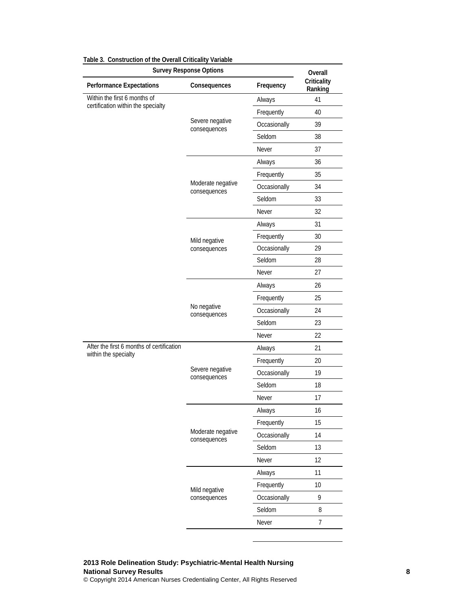| Frequency<br><b>Performance Expectations</b><br>Consequences<br>Ranking<br>Within the first 6 months of<br>41<br>Always<br>certification within the specialty<br>Frequently<br>40<br>Severe negative<br>Occasionally<br>39<br>consequences<br>Seldom<br>38<br>Never<br>37<br>36<br>Always<br>Frequently<br>35<br>Moderate negative<br>34<br>Occasionally<br>consequences<br>Seldom<br>33<br><b>Never</b><br>32<br>31<br>Always<br>Frequently<br>30<br>Mild negative<br>Occasionally<br>29<br>consequences<br>Seldom<br>28<br>Never<br>27<br>26<br>Always<br>Frequently<br>25<br>No negative<br>Occasionally<br>24<br>consequences<br>Seldom<br>23<br>Never<br>22<br>After the first 6 months of certification<br>21<br>Always<br>within the specialty<br>Frequently<br>20<br>Severe negative<br>19<br>Occasionally<br>consequences<br>Seldom<br>18<br>Never<br>17<br>16<br>Always<br>Frequently<br>15<br>Moderate negative<br>Occasionally<br>14<br>consequences<br>Seldom<br>13<br>12<br>Never<br>11<br>Always<br>Frequently<br>10<br>Mild negative<br>9<br>Occasionally<br>consequences<br>Seldom<br>8<br>Never<br>$\overline{7}$ | <b>Survey Response Options</b> | Overall |             |
|-------------------------------------------------------------------------------------------------------------------------------------------------------------------------------------------------------------------------------------------------------------------------------------------------------------------------------------------------------------------------------------------------------------------------------------------------------------------------------------------------------------------------------------------------------------------------------------------------------------------------------------------------------------------------------------------------------------------------------------------------------------------------------------------------------------------------------------------------------------------------------------------------------------------------------------------------------------------------------------------------------------------------------------------------------------------------------------------------------------------------------------|--------------------------------|---------|-------------|
|                                                                                                                                                                                                                                                                                                                                                                                                                                                                                                                                                                                                                                                                                                                                                                                                                                                                                                                                                                                                                                                                                                                                     |                                |         | Criticality |
|                                                                                                                                                                                                                                                                                                                                                                                                                                                                                                                                                                                                                                                                                                                                                                                                                                                                                                                                                                                                                                                                                                                                     |                                |         |             |
|                                                                                                                                                                                                                                                                                                                                                                                                                                                                                                                                                                                                                                                                                                                                                                                                                                                                                                                                                                                                                                                                                                                                     |                                |         |             |
|                                                                                                                                                                                                                                                                                                                                                                                                                                                                                                                                                                                                                                                                                                                                                                                                                                                                                                                                                                                                                                                                                                                                     |                                |         |             |
|                                                                                                                                                                                                                                                                                                                                                                                                                                                                                                                                                                                                                                                                                                                                                                                                                                                                                                                                                                                                                                                                                                                                     |                                |         |             |
|                                                                                                                                                                                                                                                                                                                                                                                                                                                                                                                                                                                                                                                                                                                                                                                                                                                                                                                                                                                                                                                                                                                                     |                                |         |             |
|                                                                                                                                                                                                                                                                                                                                                                                                                                                                                                                                                                                                                                                                                                                                                                                                                                                                                                                                                                                                                                                                                                                                     |                                |         |             |
|                                                                                                                                                                                                                                                                                                                                                                                                                                                                                                                                                                                                                                                                                                                                                                                                                                                                                                                                                                                                                                                                                                                                     |                                |         |             |
|                                                                                                                                                                                                                                                                                                                                                                                                                                                                                                                                                                                                                                                                                                                                                                                                                                                                                                                                                                                                                                                                                                                                     |                                |         |             |
|                                                                                                                                                                                                                                                                                                                                                                                                                                                                                                                                                                                                                                                                                                                                                                                                                                                                                                                                                                                                                                                                                                                                     |                                |         |             |
|                                                                                                                                                                                                                                                                                                                                                                                                                                                                                                                                                                                                                                                                                                                                                                                                                                                                                                                                                                                                                                                                                                                                     |                                |         |             |
|                                                                                                                                                                                                                                                                                                                                                                                                                                                                                                                                                                                                                                                                                                                                                                                                                                                                                                                                                                                                                                                                                                                                     |                                |         |             |
|                                                                                                                                                                                                                                                                                                                                                                                                                                                                                                                                                                                                                                                                                                                                                                                                                                                                                                                                                                                                                                                                                                                                     |                                |         |             |
|                                                                                                                                                                                                                                                                                                                                                                                                                                                                                                                                                                                                                                                                                                                                                                                                                                                                                                                                                                                                                                                                                                                                     |                                |         |             |
|                                                                                                                                                                                                                                                                                                                                                                                                                                                                                                                                                                                                                                                                                                                                                                                                                                                                                                                                                                                                                                                                                                                                     |                                |         |             |
|                                                                                                                                                                                                                                                                                                                                                                                                                                                                                                                                                                                                                                                                                                                                                                                                                                                                                                                                                                                                                                                                                                                                     |                                |         |             |
|                                                                                                                                                                                                                                                                                                                                                                                                                                                                                                                                                                                                                                                                                                                                                                                                                                                                                                                                                                                                                                                                                                                                     |                                |         |             |
|                                                                                                                                                                                                                                                                                                                                                                                                                                                                                                                                                                                                                                                                                                                                                                                                                                                                                                                                                                                                                                                                                                                                     |                                |         |             |
|                                                                                                                                                                                                                                                                                                                                                                                                                                                                                                                                                                                                                                                                                                                                                                                                                                                                                                                                                                                                                                                                                                                                     |                                |         |             |
|                                                                                                                                                                                                                                                                                                                                                                                                                                                                                                                                                                                                                                                                                                                                                                                                                                                                                                                                                                                                                                                                                                                                     |                                |         |             |
|                                                                                                                                                                                                                                                                                                                                                                                                                                                                                                                                                                                                                                                                                                                                                                                                                                                                                                                                                                                                                                                                                                                                     |                                |         |             |
|                                                                                                                                                                                                                                                                                                                                                                                                                                                                                                                                                                                                                                                                                                                                                                                                                                                                                                                                                                                                                                                                                                                                     |                                |         |             |
|                                                                                                                                                                                                                                                                                                                                                                                                                                                                                                                                                                                                                                                                                                                                                                                                                                                                                                                                                                                                                                                                                                                                     |                                |         |             |
|                                                                                                                                                                                                                                                                                                                                                                                                                                                                                                                                                                                                                                                                                                                                                                                                                                                                                                                                                                                                                                                                                                                                     |                                |         |             |
|                                                                                                                                                                                                                                                                                                                                                                                                                                                                                                                                                                                                                                                                                                                                                                                                                                                                                                                                                                                                                                                                                                                                     |                                |         |             |
|                                                                                                                                                                                                                                                                                                                                                                                                                                                                                                                                                                                                                                                                                                                                                                                                                                                                                                                                                                                                                                                                                                                                     |                                |         |             |
|                                                                                                                                                                                                                                                                                                                                                                                                                                                                                                                                                                                                                                                                                                                                                                                                                                                                                                                                                                                                                                                                                                                                     |                                |         |             |
|                                                                                                                                                                                                                                                                                                                                                                                                                                                                                                                                                                                                                                                                                                                                                                                                                                                                                                                                                                                                                                                                                                                                     |                                |         |             |
|                                                                                                                                                                                                                                                                                                                                                                                                                                                                                                                                                                                                                                                                                                                                                                                                                                                                                                                                                                                                                                                                                                                                     |                                |         |             |
|                                                                                                                                                                                                                                                                                                                                                                                                                                                                                                                                                                                                                                                                                                                                                                                                                                                                                                                                                                                                                                                                                                                                     |                                |         |             |
|                                                                                                                                                                                                                                                                                                                                                                                                                                                                                                                                                                                                                                                                                                                                                                                                                                                                                                                                                                                                                                                                                                                                     |                                |         |             |
|                                                                                                                                                                                                                                                                                                                                                                                                                                                                                                                                                                                                                                                                                                                                                                                                                                                                                                                                                                                                                                                                                                                                     |                                |         |             |
|                                                                                                                                                                                                                                                                                                                                                                                                                                                                                                                                                                                                                                                                                                                                                                                                                                                                                                                                                                                                                                                                                                                                     |                                |         |             |
|                                                                                                                                                                                                                                                                                                                                                                                                                                                                                                                                                                                                                                                                                                                                                                                                                                                                                                                                                                                                                                                                                                                                     |                                |         |             |
|                                                                                                                                                                                                                                                                                                                                                                                                                                                                                                                                                                                                                                                                                                                                                                                                                                                                                                                                                                                                                                                                                                                                     |                                |         |             |
|                                                                                                                                                                                                                                                                                                                                                                                                                                                                                                                                                                                                                                                                                                                                                                                                                                                                                                                                                                                                                                                                                                                                     |                                |         |             |

**Table 3. Construction of the Overall Criticality Variable**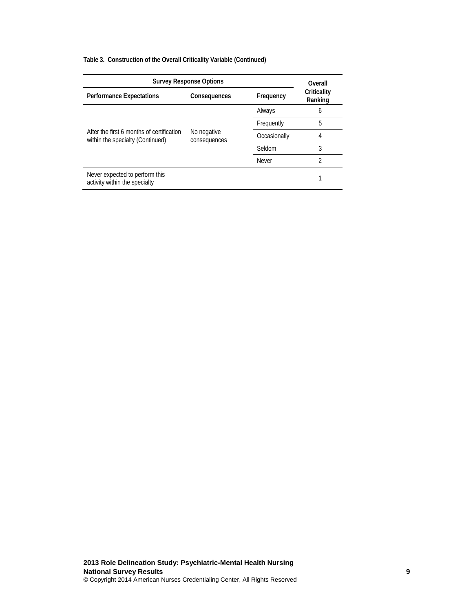#### **Table 3. Construction of the Overall Criticality Variable (Continued)**

<span id="page-9-0"></span>

| <b>Survey Response Options</b>                                                | Overall                     |              |   |
|-------------------------------------------------------------------------------|-----------------------------|--------------|---|
| <b>Performance Expectations</b>                                               | Criticality<br>Ranking      |              |   |
|                                                                               |                             | Always       | 6 |
|                                                                               | No negative<br>consequences | Frequently   | 5 |
| After the first 6 months of certification<br>within the specialty (Continued) |                             | Occasionally | 4 |
|                                                                               |                             | Seldom       | 3 |
|                                                                               |                             | <b>Never</b> | 2 |
| Never expected to perform this<br>activity within the specialty               |                             |              |   |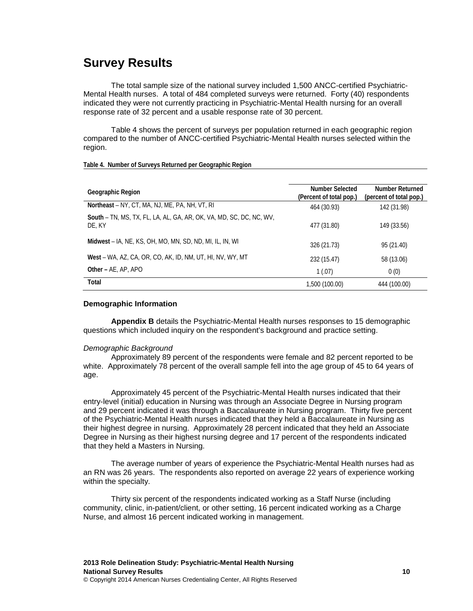## **Survey Results**

The total sample size of the national survey included 1,500 ANCC-certified Psychiatric-Mental Health nurses. A total of 484 completed surveys were returned. Forty (40) respondents indicated they were not currently practicing in Psychiatric-Mental Health nursing for an overall response rate of 32 percent and a usable response rate of 30 percent.

Table 4 shows the percent of surveys per population returned in each geographic region compared to the number of ANCC-certified Psychiatric-Mental Health nurses selected within the region.

**Table 4. Number of Surveys Returned per Geographic Region**

|                                                                               | Number Selected         | Number Returned         |
|-------------------------------------------------------------------------------|-------------------------|-------------------------|
| Geographic Region                                                             | (Percent of total pop.) | (percent of total pop.) |
| Northeast – NY, CT, MA, NJ, ME, PA, NH, VT, RI                                | 464 (30.93)             | 142 (31.98)             |
| South – TN, MS, TX, FL, LA, AL, GA, AR, OK, VA, MD, SC, DC, NC, WV,<br>DE, KY | 477 (31.80)             | 149 (33.56)             |
| Midwest – IA, NE, KS, OH, MO, MN, SD, ND, MI, IL, IN, WI                      | 326 (21.73)             | 95 (21.40)              |
| West – WA, AZ, CA, OR, CO, AK, ID, NM, UT, HI, NV, WY, MT                     | 232 (15.47)             | 58 (13.06)              |
| Other – AE, AP, APO                                                           | 1(.07)                  | 0(0)                    |
| Total                                                                         | 1,500 (100.00)          | 444 (100.00)            |

#### <span id="page-10-0"></span>**Demographic Information**

**Appendix B** details the Psychiatric-Mental Health nurses responses to 15 demographic questions which included inquiry on the respondent's background and practice setting.

#### *Demographic Background*

Approximately 89 percent of the respondents were female and 82 percent reported to be white. Approximately 78 percent of the overall sample fell into the age group of 45 to 64 years of age.

Approximately 45 percent of the Psychiatric-Mental Health nurses indicated that their entry-level (initial) education in Nursing was through an Associate Degree in Nursing program and 29 percent indicated it was through a Baccalaureate in Nursing program. Thirty five percent of the Psychiatric-Mental Health nurses indicated that they held a Baccalaureate in Nursing as their highest degree in nursing. Approximately 28 percent indicated that they held an Associate Degree in Nursing as their highest nursing degree and 17 percent of the respondents indicated that they held a Masters in Nursing.

The average number of years of experience the Psychiatric-Mental Health nurses had as an RN was 26 years. The respondents also reported on average 22 years of experience working within the specialty.

Thirty six percent of the respondents indicated working as a Staff Nurse (including community, clinic, in-patient/client, or other setting, 16 percent indicated working as a Charge Nurse, and almost 16 percent indicated working in management.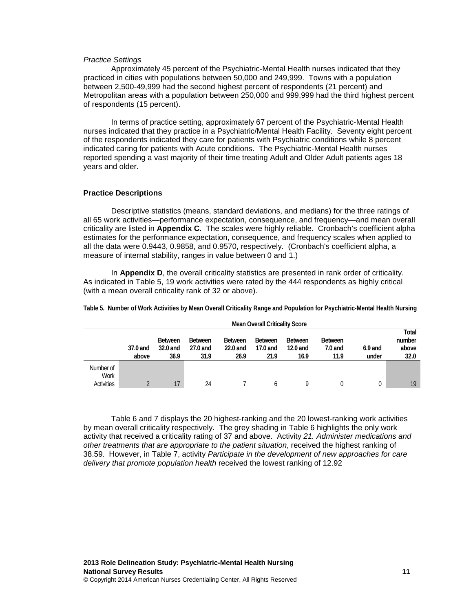#### *Practice Settings*

Approximately 45 percent of the Psychiatric-Mental Health nurses indicated that they practiced in cities with populations between 50,000 and 249,999. Towns with a population between 2,500-49,999 had the second highest percent of respondents (21 percent) and Metropolitan areas with a population between 250,000 and 999,999 had the third highest percent of respondents (15 percent).

In terms of practice setting, approximately 67 percent of the Psychiatric-Mental Health nurses indicated that they practice in a Psychiatric/Mental Health Facility. Seventy eight percent of the respondents indicated they care for patients with Psychiatric conditions while 8 percent indicated caring for patients with Acute conditions. The Psychiatric-Mental Health nurses reported spending a vast majority of their time treating Adult and Older Adult patients ages 18 years and older.

#### <span id="page-11-0"></span>**Practice Descriptions**

Descriptive statistics (means, standard deviations, and medians) for the three ratings of all 65 work activities—performance expectation, consequence, and frequency—and mean overall criticality are listed in **Appendix C**. The scales were highly reliable. Cronbach's coefficient alpha estimates for the performance expectation, consequence, and frequency scales when applied to all the data were 0.9443, 0.9858, and 0.9570, respectively. (Cronbach's coefficient alpha, a measure of internal stability, ranges in value between 0 and 1.)

In **Appendix D**, the overall criticality statistics are presented in rank order of criticality. As indicated in Table 5, 19 work activities were rated by the 444 respondents as highly critical (with a mean overall criticality rank of 32 or above).

|                                 |                   | <b>Mean Overall Criticality Score</b> |                                    |                                      |                                    |                                      |                                     |                    |                                  |
|---------------------------------|-------------------|---------------------------------------|------------------------------------|--------------------------------------|------------------------------------|--------------------------------------|-------------------------------------|--------------------|----------------------------------|
|                                 | 37.0 and<br>above | <b>Between</b><br>32.0 and<br>36.9    | <b>Between</b><br>27.0 and<br>31.9 | <b>Between</b><br>$22.0$ and<br>26.9 | <b>Between</b><br>17.0 and<br>21.9 | <b>Between</b><br>$12.0$ and<br>16.9 | <b>Between</b><br>$7.0$ and<br>11.9 | $6.9$ and<br>under | Total<br>number<br>above<br>32.0 |
| Number of<br>Work<br>Activities |                   | 17                                    | 24                                 |                                      | h                                  |                                      |                                     |                    | 19                               |

**Table 5. Number of Work Activities by Mean Overall Criticality Range and Population for Psychiatric-Mental Health Nursing**

Table 6 and 7 displays the 20 highest-ranking and the 20 lowest-ranking work activities by mean overall criticality respectively. The grey shading in Table 6 highlights the only work activity that received a criticality rating of 37 and above. Activity *21. Administer medications and other treatments that are appropriate to the patient situation*, received the highest ranking of 38.59. However, in Table 7, activity *Participate in the development of new approaches for care delivery that promote population health* received the lowest ranking of 12.92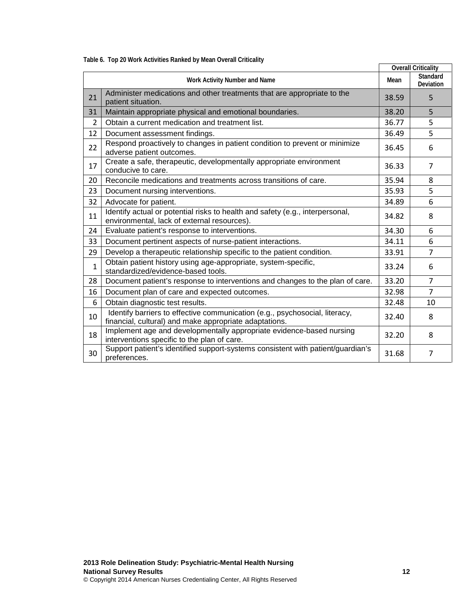| Table 6. Top 20 Work Activities Ranked by Mean Overall Criticality |  |  |
|--------------------------------------------------------------------|--|--|
|                                                                    |  |  |

|                |                                                                                                                                       |       | <b>Overall Criticality</b>   |
|----------------|---------------------------------------------------------------------------------------------------------------------------------------|-------|------------------------------|
|                | Work Activity Number and Name                                                                                                         | Mean  | Standard<br><b>Deviation</b> |
| 21             | Administer medications and other treatments that are appropriate to the<br>patient situation.                                         | 38.59 | 5                            |
| 31             | Maintain appropriate physical and emotional boundaries.                                                                               | 38.20 | 5                            |
| $\overline{2}$ | Obtain a current medication and treatment list.                                                                                       | 36.77 | 5                            |
| 12             | Document assessment findings.                                                                                                         | 36.49 | 5                            |
| 22             | Respond proactively to changes in patient condition to prevent or minimize<br>adverse patient outcomes.                               | 36.45 | 6                            |
| 17             | Create a safe, therapeutic, developmentally appropriate environment<br>conducive to care.                                             | 36.33 | $\overline{7}$               |
| 20             | Reconcile medications and treatments across transitions of care.                                                                      | 35.94 | 8                            |
| 23             | Document nursing interventions.                                                                                                       | 35.93 | 5                            |
| 32             | Advocate for patient.                                                                                                                 | 34.89 | 6                            |
| 11             | Identify actual or potential risks to health and safety (e.g., interpersonal,<br>environmental, lack of external resources).          | 34.82 | 8                            |
| 24             | Evaluate patient's response to interventions.                                                                                         | 34.30 | 6                            |
| 33             | Document pertinent aspects of nurse-patient interactions.                                                                             | 34.11 | 6                            |
| 29             | Develop a therapeutic relationship specific to the patient condition.                                                                 | 33.91 | $\overline{7}$               |
| $\mathbf{1}$   | Obtain patient history using age-appropriate, system-specific,<br>standardized/evidence-based tools.                                  | 33.24 | 6                            |
| 28             | Document patient's response to interventions and changes to the plan of care.                                                         | 33.20 | $\overline{7}$               |
| 16             | Document plan of care and expected outcomes.                                                                                          | 32.98 | $\overline{7}$               |
| 6              | Obtain diagnostic test results.                                                                                                       | 32.48 | 10                           |
| 10             | Identify barriers to effective communication (e.g., psychosocial, literacy,<br>financial, cultural) and make appropriate adaptations. | 32.40 | 8                            |
| 18             | Implement age and developmentally appropriate evidence-based nursing<br>interventions specific to the plan of care.                   | 32.20 | 8                            |
| 30             | Support patient's identified support-systems consistent with patient/guardian's<br>preferences.                                       | 31.68 | 7                            |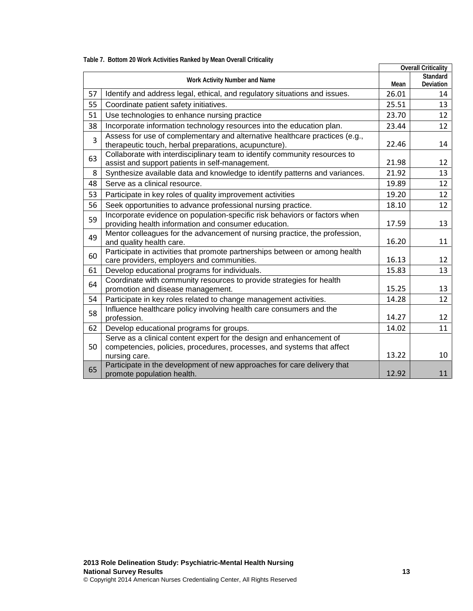|                |                                                                                                                                                                 |       | <b>Overall Criticality</b> |
|----------------|-----------------------------------------------------------------------------------------------------------------------------------------------------------------|-------|----------------------------|
|                | Work Activity Number and Name                                                                                                                                   |       | Standard                   |
|                |                                                                                                                                                                 | Mean  | Deviation                  |
| 57             | Identify and address legal, ethical, and regulatory situations and issues.                                                                                      | 26.01 | 14                         |
| 55             | Coordinate patient safety initiatives.                                                                                                                          | 25.51 | 13                         |
| 51             | Use technologies to enhance nursing practice                                                                                                                    | 23.70 | 12                         |
| 38             | Incorporate information technology resources into the education plan.                                                                                           | 23.44 | 12                         |
| $\overline{3}$ | Assess for use of complementary and alternative healthcare practices (e.g.,<br>therapeutic touch, herbal preparations, acupuncture).                            | 22.46 | 14                         |
| 63             | Collaborate with interdisciplinary team to identify community resources to<br>assist and support patients in self-management.                                   | 21.98 | 12                         |
| 8              | Synthesize available data and knowledge to identify patterns and variances.                                                                                     | 21.92 | 13                         |
| 48             | Serve as a clinical resource.                                                                                                                                   | 19.89 | 12                         |
| 53             | Participate in key roles of quality improvement activities                                                                                                      | 19.20 | 12 <sup>2</sup>            |
| 56             | Seek opportunities to advance professional nursing practice.                                                                                                    | 18.10 | 12                         |
| 59             | Incorporate evidence on population-specific risk behaviors or factors when<br>providing health information and consumer education.                              | 17.59 | 13                         |
| 49             | Mentor colleagues for the advancement of nursing practice, the profession,<br>and quality health care.                                                          | 16.20 | 11                         |
| 60             | Participate in activities that promote partnerships between or among health<br>care providers, employers and communities.                                       | 16.13 | 12                         |
| 61             | Develop educational programs for individuals.                                                                                                                   | 15.83 | 13                         |
| 64             | Coordinate with community resources to provide strategies for health<br>promotion and disease management.                                                       | 15.25 | 13                         |
| 54             | Participate in key roles related to change management activities.                                                                                               | 14.28 | 12                         |
| 58             | Influence healthcare policy involving health care consumers and the<br>profession.                                                                              | 14.27 | 12                         |
| 62             | Develop educational programs for groups.                                                                                                                        | 14.02 | 11                         |
| 50             | Serve as a clinical content expert for the design and enhancement of<br>competencies, policies, procedures, processes, and systems that affect<br>nursing care. | 13.22 | 10                         |
| 65             | Participate in the development of new approaches for care delivery that<br>promote population health.                                                           | 12.92 | 11                         |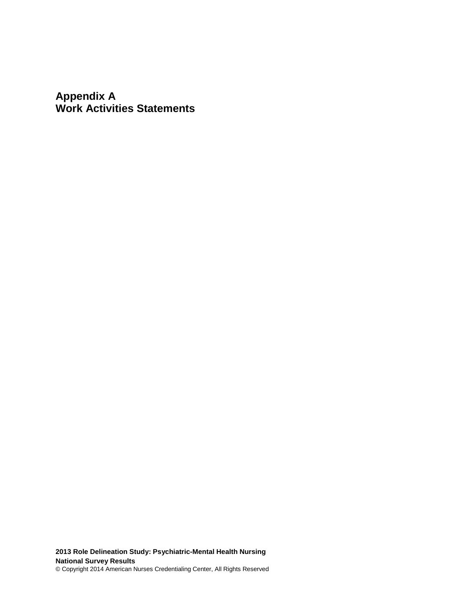**Appendix A Work Activities Statements**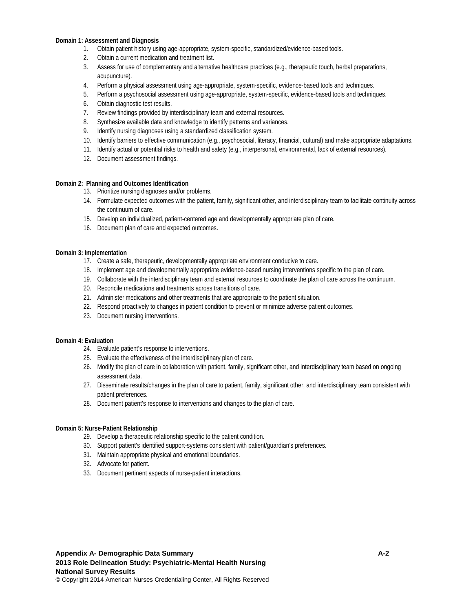#### **Domain 1: Assessment and Diagnosis**

- 1. Obtain patient history using age-appropriate, system-specific, standardized/evidence-based tools.
- 2. Obtain a current medication and treatment list.
- 3. Assess for use of complementary and alternative healthcare practices (e.g., therapeutic touch, herbal preparations, acupuncture).
- 4. Perform a physical assessment using age-appropriate, system-specific, evidence-based tools and techniques.
- 5. Perform a psychosocial assessment using age-appropriate, system-specific, evidence-based tools and techniques.
- 6. Obtain diagnostic test results.
- 7. Review findings provided by interdisciplinary team and external resources.
- 8. Synthesize available data and knowledge to identify patterns and variances.
- 9. Identify nursing diagnoses using a standardized classification system.
- 10. Identify barriers to effective communication (e.g., psychosocial, literacy, financial, cultural) and make appropriate adaptations.
- 11. Identify actual or potential risks to health and safety (e.g., interpersonal, environmental, lack of external resources).
- 12. Document assessment findings.

#### **Domain 2: Planning and Outcomes Identification**

- 13. Prioritize nursing diagnoses and/or problems.
- 14. Formulate expected outcomes with the patient, family, significant other, and interdisciplinary team to facilitate continuity across the continuum of care.
- 15. Develop an individualized, patient-centered age and developmentally appropriate plan of care.
- 16. Document plan of care and expected outcomes.

#### **Domain 3: Implementation**

- 17. Create a safe, therapeutic, developmentally appropriate environment conducive to care.
- 18. Implement age and developmentally appropriate evidence-based nursing interventions specific to the plan of care.
- 19. Collaborate with the interdisciplinary team and external resources to coordinate the plan of care across the continuum.
- 20. Reconcile medications and treatments across transitions of care.
- 21. Administer medications and other treatments that are appropriate to the patient situation.
- 22. Respond proactively to changes in patient condition to prevent or minimize adverse patient outcomes.
- 23. Document nursing interventions.

#### **Domain 4: Evaluation**

- 24. Evaluate patient's response to interventions.
- 25. Evaluate the effectiveness of the interdisciplinary plan of care.
- 26. Modify the plan of care in collaboration with patient, family, significant other, and interdisciplinary team based on ongoing assessment data.
- 27. Disseminate results/changes in the plan of care to patient, family, significant other, and interdisciplinary team consistent with patient preferences.
- 28. Document patient's response to interventions and changes to the plan of care.

#### **Domain 5: Nurse-Patient Relationship**

- 29. Develop a therapeutic relationship specific to the patient condition.
- 30. Support patient's identified support-systems consistent with patient/guardian's preferences.
- 31. Maintain appropriate physical and emotional boundaries.
- 32. Advocate for patient.
- 33. Document pertinent aspects of nurse-patient interactions.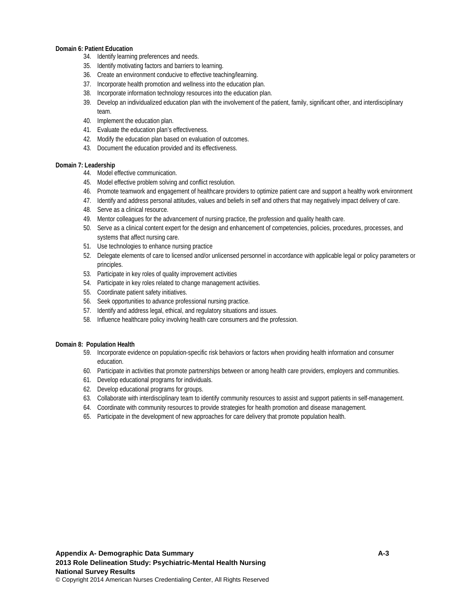#### **Domain 6: Patient Education**

- 34. Identify learning preferences and needs.
- 35. Identify motivating factors and barriers to learning.
- 36. Create an environment conducive to effective teaching/learning.
- 37. Incorporate health promotion and wellness into the education plan.
- 38. Incorporate information technology resources into the education plan.
- 39. Develop an individualized education plan with the involvement of the patient, family, significant other, and interdisciplinary team.
- 40. Implement the education plan.
- 41. Evaluate the education plan's effectiveness.
- 42. Modify the education plan based on evaluation of outcomes.
- 43. Document the education provided and its effectiveness.

#### **Domain 7: Leadership**

- 44. Model effective communication.
- 45. Model effective problem solving and conflict resolution.
- 46. Promote teamwork and engagement of healthcare providers to optimize patient care and support a healthy work environment
- 47. Identify and address personal attitudes, values and beliefs in self and others that may negatively impact delivery of care.
- 48. Serve as a clinical resource.
- 49. Mentor colleagues for the advancement of nursing practice, the profession and quality health care.
- 50. Serve as a clinical content expert for the design and enhancement of competencies, policies, procedures, processes, and systems that affect nursing care.
- 51. Use technologies to enhance nursing practice
- 52. Delegate elements of care to licensed and/or unlicensed personnel in accordance with applicable legal or policy parameters or principles.
- 53. Participate in key roles of quality improvement activities
- 54. Participate in key roles related to change management activities.
- 55. Coordinate patient safety initiatives.
- 56. Seek opportunities to advance professional nursing practice.
- 57. Identify and address legal, ethical, and regulatory situations and issues.
- 58. Influence healthcare policy involving health care consumers and the profession.

#### **Domain 8: Population Health**

- 59. Incorporate evidence on population-specific risk behaviors or factors when providing health information and consumer education.
- 60. Participate in activities that promote partnerships between or among health care providers, employers and communities.
- 61. Develop educational programs for individuals.
- 62. Develop educational programs for groups.
- 63. Collaborate with interdisciplinary team to identify community resources to assist and support patients in self-management.
- 64. Coordinate with community resources to provide strategies for health promotion and disease management.
- 65. Participate in the development of new approaches for care delivery that promote population health.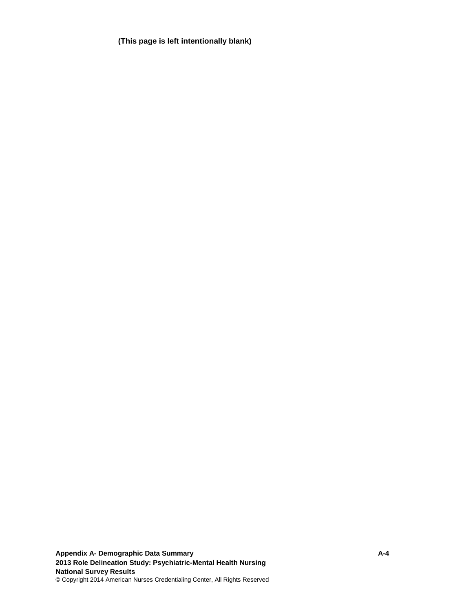**(This page is left intentionally blank)**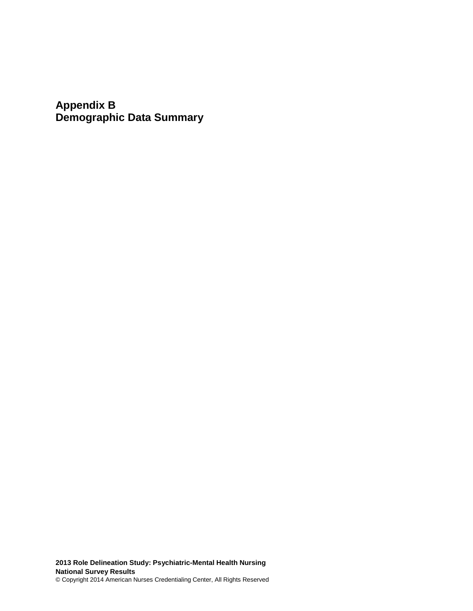**Appendix B Demographic Data Summary**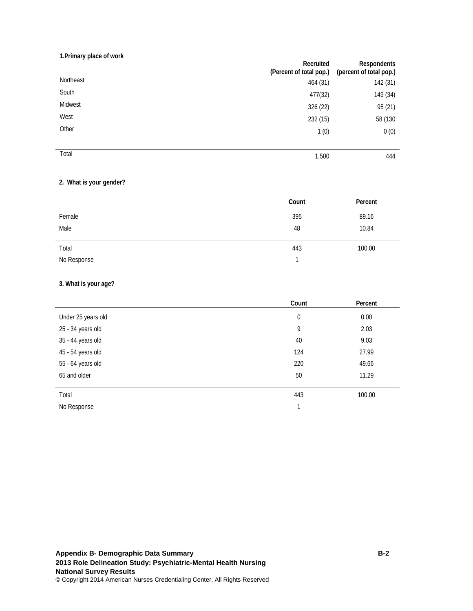| 1. Primary place of work |                         |                         |
|--------------------------|-------------------------|-------------------------|
|                          | Recruited               | Respondents             |
|                          | (Percent of total pop.) | (percent of total pop.) |
| Northeast                | 464 (31)                | 142 (31)                |
| South                    | 477(32)                 | 149 (34)                |
| <b>Midwest</b>           | 326 (22)                | 95 (21)                 |
| West                     | 232 (15)                | 58 (130                 |
| Other                    | 1(0)                    | 0(0)                    |
|                          |                         |                         |
| Total                    | 1,500                   | 444                     |

#### **2. What is your gender?**

|                      | Count     | Percent        |
|----------------------|-----------|----------------|
| Female<br>Male       | 395<br>48 | 89.16<br>10.84 |
| Total<br>No Response | 443       | 100.00         |

#### **3. What is your age?**

|                    | Count            | Percent |
|--------------------|------------------|---------|
| Under 25 years old | $\boldsymbol{0}$ | 0.00    |
| 25 - 34 years old  | 9                | 2.03    |
| 35 - 44 years old  | 40               | 9.03    |
| 45 - 54 years old  | 124              | 27.99   |
| 55 - 64 years old  | 220              | 49.66   |
| 65 and older       | 50               | 11.29   |
| Total              | 443              | 100.00  |
| No Response        |                  |         |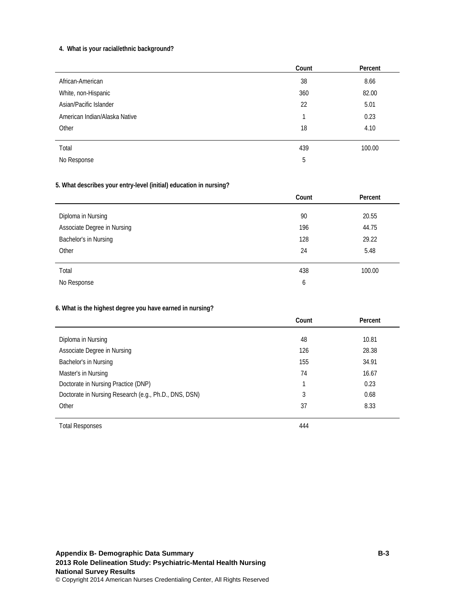#### **4. What is your racial/ethnic background?**

|                               | Count | Percent |
|-------------------------------|-------|---------|
| African-American              | 38    | 8.66    |
| White, non-Hispanic           | 360   | 82.00   |
| Asian/Pacific Islander        | 22    | 5.01    |
| American Indian/Alaska Native | 1     | 0.23    |
| Other                         | 18    | 4.10    |
|                               |       |         |
| Total                         | 439   | 100.00  |
| No Response                   | 5     |         |

#### **5. What describes your entry-level (initial) education in nursing?**

|                             | Count | Percent |
|-----------------------------|-------|---------|
|                             |       |         |
| Diploma in Nursing          | 90    | 20.55   |
| Associate Degree in Nursing | 196   | 44.75   |
| Bachelor's in Nursing       | 128   | 29.22   |
| Other                       | 24    | 5.48    |
|                             |       |         |
| Total                       | 438   | 100.00  |
| No Response                 | 6     |         |

#### **6. What is the highest degree you have earned in nursing?**

|                                                       | Count | Percent |
|-------------------------------------------------------|-------|---------|
|                                                       |       |         |
| Diploma in Nursing                                    | 48    | 10.81   |
| Associate Degree in Nursing                           | 126   | 28.38   |
| Bachelor's in Nursing                                 | 155   | 34.91   |
| Master's in Nursing                                   | 74    | 16.67   |
| Doctorate in Nursing Practice (DNP)                   |       | 0.23    |
| Doctorate in Nursing Research (e.g., Ph.D., DNS, DSN) | 3     | 0.68    |
| Other                                                 | 37    | 8.33    |

Total Responses 444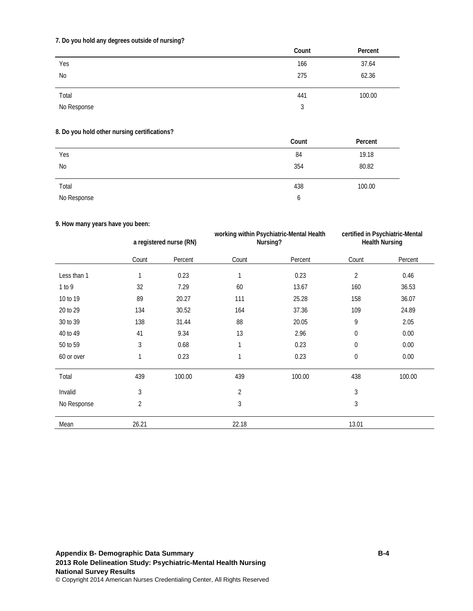#### **7. Do you hold any degrees outside of nursing?**

|             | Count  | Percent |
|-------------|--------|---------|
| Yes         | 166    | 37.64   |
| No          | 275    | 62.36   |
| Total       | 441    | 100.00  |
| No Response | 2<br>J |         |

#### **8. Do you hold other nursing certifications?**

|             | Count | Percent |
|-------------|-------|---------|
| Yes         | 84    | 19.18   |
| <b>No</b>   | 354   | 80.82   |
| Total       | 438   | 100.00  |
| No Response | b     |         |

#### **9. How many years have you been:**

|             | a registered nurse (RN) |         | working within Psychiatric-Mental Health<br>Nursing? |         | certified in Psychiatric-Mental<br><b>Health Nursing</b> |         |
|-------------|-------------------------|---------|------------------------------------------------------|---------|----------------------------------------------------------|---------|
|             | Count                   | Percent | Count                                                | Percent | Count                                                    | Percent |
| Less than 1 | 1                       | 0.23    | 1                                                    | 0.23    | $\overline{2}$                                           | 0.46    |
| 1 to 9      | 32                      | 7.29    | 60                                                   | 13.67   | 160                                                      | 36.53   |
| 10 to 19    | 89                      | 20.27   | 111                                                  | 25.28   | 158                                                      | 36.07   |
| 20 to 29    | 134                     | 30.52   | 164                                                  | 37.36   | 109                                                      | 24.89   |
| 30 to 39    | 138                     | 31.44   | 88                                                   | 20.05   | 9                                                        | 2.05    |
| 40 to 49    | 41                      | 9.34    | 13                                                   | 2.96    | $\overline{0}$                                           | 0.00    |
| 50 to 59    | 3                       | 0.68    | 1                                                    | 0.23    | $\overline{0}$                                           | 0.00    |
| 60 or over  | 1                       | 0.23    | 1                                                    | 0.23    | $\boldsymbol{0}$                                         | 0.00    |
| Total       | 439                     | 100.00  | 439                                                  | 100.00  | 438                                                      | 100.00  |
| Invalid     | 3                       |         | $\overline{2}$                                       |         | $\mathfrak{Z}$                                           |         |
| No Response | $\overline{2}$          |         | $\mathfrak{Z}$                                       |         | 3                                                        |         |
| Mean        | 26.21                   |         | 22.18                                                |         | 13.01                                                    |         |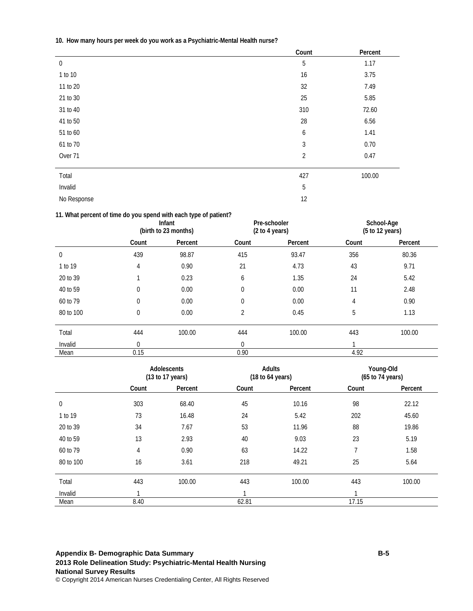#### **10. How many hours per week do you work as a Psychiatric-Mental Health nurse?**

|                  | Count          | Percent |
|------------------|----------------|---------|
| $\boldsymbol{0}$ | 5              | 1.17    |
| 1 to 10          | 16             | 3.75    |
| 11 to 20         | 32             | 7.49    |
| 21 to 30         | 25             | 5.85    |
| 31 to 40         | 310            | 72.60   |
| 41 to 50         | 28             | 6.56    |
| 51 to 60         | 6              | 1.41    |
| 61 to 70         | 3              | 0.70    |
| Over 71          | $\overline{2}$ | 0.47    |
| Total            | 427            | 100.00  |
| Invalid          | $\sqrt{5}$     |         |
| No Response      | 12             |         |

#### **11. What percent of time do you spend with each type of patient?**

|           | Infant<br>(birth to 23 months) |         | Pre-schooler<br>(2 to 4 years) |         | School-Age<br>(5 to 12 years) |         |
|-----------|--------------------------------|---------|--------------------------------|---------|-------------------------------|---------|
|           | Count                          | Percent | Count                          | Percent | Count                         | Percent |
| 0         | 439                            | 98.87   | 415                            | 93.47   | 356                           | 80.36   |
| 1 to 19   | 4                              | 0.90    | 21                             | 4.73    | 43                            | 9.71    |
| 20 to 39  |                                | 0.23    | 6                              | 1.35    | 24                            | 5.42    |
| 40 to 59  | $\boldsymbol{0}$               | 0.00    | $\boldsymbol{0}$               | 0.00    | 11                            | 2.48    |
| 60 to 79  | $\boldsymbol{0}$               | 0.00    | $\mathbf 0$                    | 0.00    | 4                             | 0.90    |
| 80 to 100 | $\boldsymbol{0}$               | 0.00    | 2                              | 0.45    | 5                             | 1.13    |
| Total     | 444                            | 100.00  | 444                            | 100.00  | 443                           | 100.00  |
| Invalid   | 0                              |         | $\overline{0}$                 |         |                               |         |
| Mean      | 0.15                           |         | 0.90                           |         | 4.92                          |         |

|           |       | <b>Adolescents</b><br>(13 to 17 years) |       | <b>Adults</b><br>(18 to 64 years) |                | Young-Old<br>(65 to 74 years) |
|-----------|-------|----------------------------------------|-------|-----------------------------------|----------------|-------------------------------|
|           | Count | Percent                                | Count | Percent                           | Count          | Percent                       |
| 0         | 303   | 68.40                                  | 45    | 10.16                             | 98             | 22.12                         |
| 1 to 19   | 73    | 16.48                                  | 24    | 5.42                              | 202            | 45.60                         |
| 20 to 39  | 34    | 7.67                                   | 53    | 11.96                             | 88             | 19.86                         |
| 40 to 59  | 13    | 2.93                                   | 40    | 9.03                              | 23             | 5.19                          |
| 60 to 79  | 4     | 0.90                                   | 63    | 14.22                             | $\overline{7}$ | 1.58                          |
| 80 to 100 | 16    | 3.61                                   | 218   | 49.21                             | 25             | 5.64                          |
| Total     | 443   | 100.00                                 | 443   | 100.00                            | 443            | 100.00                        |
| Invalid   |       |                                        |       |                                   |                |                               |
| Mean      | 8.40  |                                        | 62.81 |                                   | 17.15          |                               |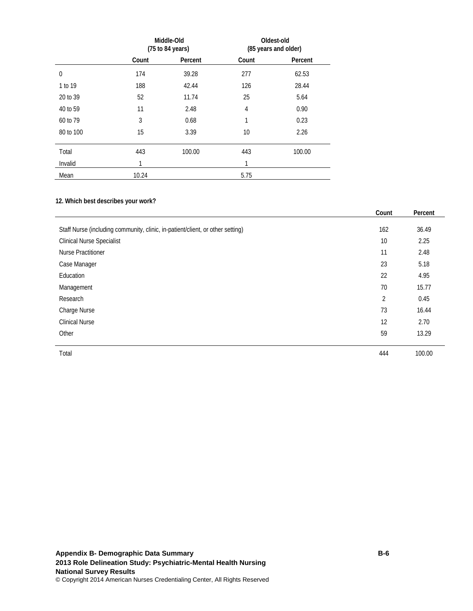|             | Middle-Old<br>$(75 \text{ to } 84 \text{ years})$ |         |       | Oldest-old<br>(85 years and older) |
|-------------|---------------------------------------------------|---------|-------|------------------------------------|
|             | Count                                             | Percent | Count | Percent                            |
| $\mathbf 0$ | 174                                               | 39.28   | 277   | 62.53                              |
| 1 to 19     | 188                                               | 42.44   | 126   | 28.44                              |
| 20 to 39    | 52                                                | 11.74   | 25    | 5.64                               |
| 40 to 59    | 11                                                | 2.48    | 4     | 0.90                               |
| 60 to 79    | 3                                                 | 0.68    | 1     | 0.23                               |
| 80 to 100   | 15                                                | 3.39    | 10    | 2.26                               |
| Total       | 443                                               | 100.00  | 443   | 100.00                             |
| Invalid     |                                                   |         |       |                                    |
| Mean        | 10.24                                             |         | 5.75  |                                    |

#### **12. Which best describes your work?**

|                                                                                | Count          | Percent |
|--------------------------------------------------------------------------------|----------------|---------|
| Staff Nurse (including community, clinic, in-patient/client, or other setting) | 162            | 36.49   |
| <b>Clinical Nurse Specialist</b>                                               | 10             | 2.25    |
| <b>Nurse Practitioner</b>                                                      | 11             | 2.48    |
| Case Manager                                                                   | 23             | 5.18    |
| Education                                                                      | 22             | 4.95    |
| Management                                                                     | 70             | 15.77   |
| Research                                                                       | $\overline{2}$ | 0.45    |
| Charge Nurse                                                                   | 73             | 16.44   |
| <b>Clinical Nurse</b>                                                          | 12             | 2.70    |
| Other                                                                          | 59             | 13.29   |
| Total                                                                          | 444            | 100.00  |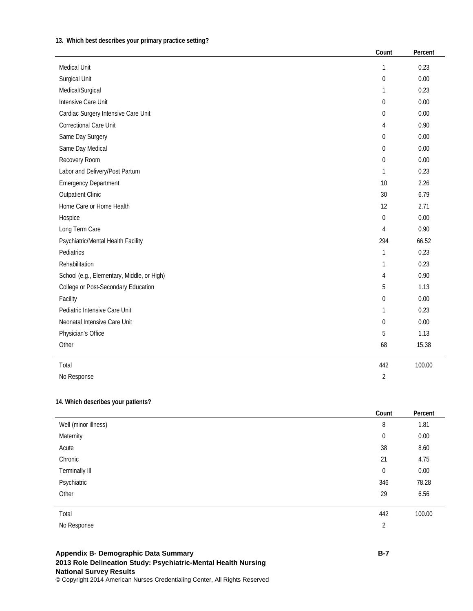#### **13. Which best describes your primary practice setting?**

|                                            | Count          | Percent |
|--------------------------------------------|----------------|---------|
| <b>Medical Unit</b>                        | 1              | 0.23    |
| Surgical Unit                              | $\overline{0}$ | 0.00    |
| Medical/Surgical                           | 1              | 0.23    |
| Intensive Care Unit                        | 0              | 0.00    |
| Cardiac Surgery Intensive Care Unit        | 0              | 0.00    |
| Correctional Care Unit                     | 4              | 0.90    |
| Same Day Surgery                           | 0              | 0.00    |
| Same Day Medical                           | $\mathbf 0$    | 0.00    |
| Recovery Room                              | $\mathbf 0$    | 0.00    |
| Labor and Delivery/Post Partum             | 1              | 0.23    |
| <b>Emergency Department</b>                | 10             | 2.26    |
| <b>Outpatient Clinic</b>                   | 30             | 6.79    |
| Home Care or Home Health                   | 12             | 2.71    |
| Hospice                                    | $\mathbf 0$    | 0.00    |
| Long Term Care                             | 4              | 0.90    |
| Psychiatric/Mental Health Facility         | 294            | 66.52   |
| Pediatrics                                 | 1              | 0.23    |
| Rehabilitation                             | 1              | 0.23    |
| School (e.g., Elementary, Middle, or High) | 4              | 0.90    |
| College or Post-Secondary Education        | 5              | 1.13    |
| Facility                                   | $\pmb{0}$      | 0.00    |
| Pediatric Intensive Care Unit              | 1              | 0.23    |
| Neonatal Intensive Care Unit               | $\mathbf 0$    | 0.00    |
| Physician's Office                         | 5              | 1.13    |
| Other                                      | 68             | 15.38   |
| Total                                      | 442            | 100.00  |
| No Response                                | 2              |         |

#### **14. Which describes your patients?**

|                      | Count            | Percent |
|----------------------|------------------|---------|
| Well (minor illness) | 8                | 1.81    |
| Maternity            | 0                | 0.00    |
| Acute                | 38               | 8.60    |
| Chronic              | 21               | 4.75    |
| Terminally III       | $\boldsymbol{0}$ | 0.00    |
| Psychiatric          | 346              | 78.28   |
| Other                | 29               | 6.56    |
| ___                  |                  | .       |

Total 442 100.00 No Response 22

### **Appendix B- Demographic Data Summary B-7 2013 Role Delineation Study: Psychiatric-Mental Health Nursing National Survey Results** © Copyright 2014 American Nurses Credentialing Center, All Rights Reserved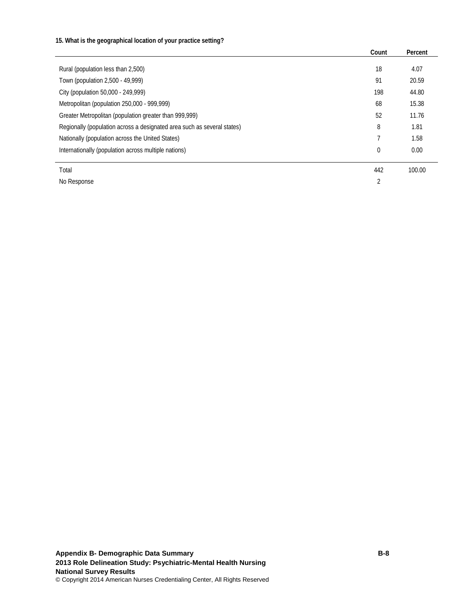#### **15. What is the geographical location of your practice setting?**

|                                                                         | Count | Percent |
|-------------------------------------------------------------------------|-------|---------|
|                                                                         |       |         |
| Rural (population less than 2,500)                                      | 18    | 4.07    |
| Town (population 2,500 - 49,999)                                        | 91    | 20.59   |
| City (population 50,000 - 249,999)                                      | 198   | 44.80   |
| Metropolitan (population 250,000 - 999,999)                             | 68    | 15.38   |
| Greater Metropolitan (population greater than 999,999)                  | 52    | 11.76   |
| Regionally (population across a designated area such as several states) | 8     | 1.81    |
| Nationally (population across the United States)                        |       | 1.58    |
| Internationally (population across multiple nations)                    | 0     | 0.00    |
|                                                                         |       |         |
| Total                                                                   | 442   | 100.00  |
| No Response                                                             | 2     |         |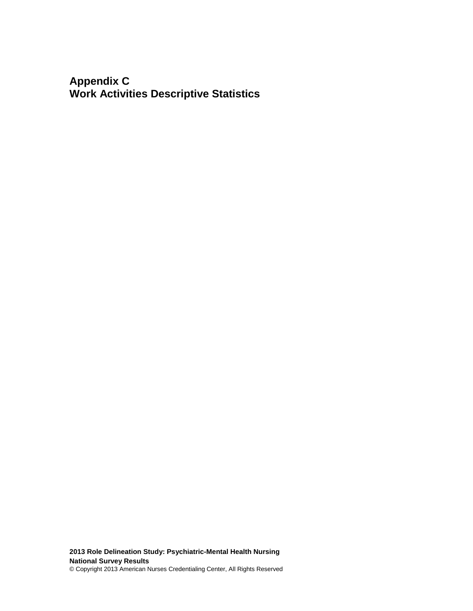**Appendix C Work Activities Descriptive Statistics**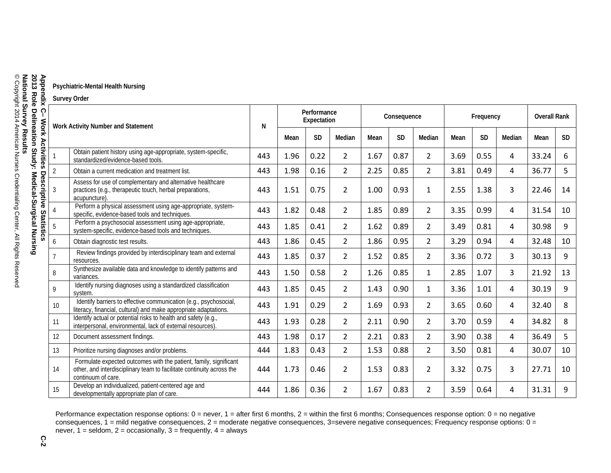|                                                             |                                    | Psychiatric-Mental Health Nursing                                                                                                                                |     |                            |           |                |             |           |                |      |           |        |                     |           |
|-------------------------------------------------------------|------------------------------------|------------------------------------------------------------------------------------------------------------------------------------------------------------------|-----|----------------------------|-----------|----------------|-------------|-----------|----------------|------|-----------|--------|---------------------|-----------|
|                                                             |                                    | <b>Survey Order</b>                                                                                                                                              |     |                            |           |                |             |           |                |      |           |        |                     |           |
| Appendix C- Work Activities<br>2013 Role Delineation Study: | Work Activity Number and Statement |                                                                                                                                                                  | N   | Performance<br>Expectation |           |                | Consequence |           |                |      | Frequency |        | <b>Overall Rank</b> |           |
|                                                             |                                    |                                                                                                                                                                  |     | Mean                       | <b>SD</b> | Median         | Mean        | <b>SD</b> | Median         | Mean | <b>SD</b> | Median | Mean                | <b>SD</b> |
|                                                             |                                    | Obtain patient history using age-appropriate, system-specific,<br>standardized/evidence-based tools.                                                             | 443 | 1.96                       | 0.22      | $\overline{2}$ | 1.67        | 0.87      | $\overline{2}$ | 3.69 | 0.55      | 4      | 33.24               | 6         |
|                                                             | $\overline{2}$                     | Obtain a current medication and treatment list.                                                                                                                  | 443 | 1.98                       | 0.16      | $\overline{2}$ | 2.25        | 0.85      | $\overline{2}$ | 3.81 | 0.49      | 4      | 36.77               | 5         |
| Medical-Surgical Nursing<br>Descriptive                     | 3                                  | Assess for use of complementary and alternative healthcare<br>practices (e.g., therapeutic touch, herbal preparations,<br>acupuncture)                           | 443 | 1.51                       | 0.75      | $\overline{2}$ | 1.00        | 0.93      | $\mathbf{1}$   | 2.55 | 1.38      | 3      | 22.46               | 14        |
|                                                             |                                    | Perform a physical assessment using age-appropriate, system-<br>specific, evidence-based tools and techniques.                                                   | 443 | 1.82                       | 0.48      | $\overline{2}$ | 1.85        | 0.89      | $\overline{2}$ | 3.35 | 0.99      | 4      | 31.54               | 10        |
| <b>Statistics</b>                                           | 5                                  | Perform a psychosocial assessment using age-appropriate,<br>system-specific, evidence-based tools and techniques.                                                | 443 | 1.85                       | 0.41      | $\overline{2}$ | 1.62        | 0.89      | $\overline{2}$ | 3.49 | 0.81      | 4      | 30.98               | 9         |
|                                                             | 6                                  | Obtain diagnostic test results.                                                                                                                                  | 443 | 1.86                       | 0.45      | $\overline{2}$ | 1.86        | 0.95      | $\overline{2}$ | 3.29 | 0.94      | 4      | 32.48               | 10        |
|                                                             | $\overline{1}$                     | Review findings provided by interdisciplinary team and external<br>resources.                                                                                    | 443 | 1.85                       | 0.37      | $\overline{2}$ | 1.52        | 0.85      | $\overline{2}$ | 3.36 | 0.72      | 3      | 30.13               | 9         |
|                                                             | 8                                  | Synthesize available data and knowledge to identify patterns and<br>variances.                                                                                   | 443 | 1.50                       | 0.58      | $\overline{2}$ | 1.26        | 0.85      | $\mathbf{1}$   | 2.85 | 1.07      | 3      | 21.92               | 13        |
|                                                             | 9                                  | Identify nursing diagnoses using a standardized classification<br>system.                                                                                        | 443 | 1.85                       | 0.45      | $\overline{2}$ | 1.43        | 0.90      | $\mathbf{1}$   | 3.36 | 1.01      | 4      | 30.19               | 9         |
|                                                             | 10                                 | Identify barriers to effective communication (e.g., psychosocial,<br>literacy, financial, cultural) and make appropriate adaptations.                            | 443 | 1.91                       | 0.29      | $\overline{2}$ | 1.69        | 0.93      | $\overline{2}$ | 3.65 | 0.60      | 4      | 32.40               | 8         |
|                                                             | 11                                 | Identify actual or potential risks to health and safety (e.g.,<br>interpersonal, environmental, lack of external resources).                                     | 443 | 1.93                       | 0.28      | $\overline{2}$ | 2.11        | 0.90      | $\overline{2}$ | 3.70 | 0.59      | 4      | 34.82               | 8         |
|                                                             | 12                                 | Document assessment findings.                                                                                                                                    | 443 | 1.98                       | 0.17      | $\overline{2}$ | 2.21        | 0.83      | $\overline{2}$ | 3.90 | 0.38      | 4      | 36.49               | 5         |
|                                                             | 13                                 | Prioritize nursing diagnoses and/or problems.                                                                                                                    | 444 | 1.83                       | 0.43      | $\overline{2}$ | 1.53        | 0.88      | $\overline{2}$ | 3.50 | 0.81      | 4      | 30.07               | 10        |
|                                                             | 14                                 | Formulate expected outcomes with the patient, family, significant<br>other, and interdisciplinary team to facilitate continuity across the<br>continuum of care. | 444 | 1.73                       | 0.46      | $\overline{2}$ | 1.53        | 0.83      | $\overline{2}$ | 3.32 | 0.75      | 3      | 27.71               | 10        |
|                                                             | 15                                 | Develop an individualized, patient-centered age and<br>developmentally appropriate plan of care.                                                                 | 444 | 1.86                       | 0.36      | $\overline{2}$ | 1.67        | 0.83      | $\overline{2}$ | 3.59 | 0.64      | 4      | 31.31               | 9         |

Performance expectation response options: 0 = never, 1 = after first 6 months, 2 = within the first 6 months; Consequences response option: 0 = no negative consequences, 1 = mild negative consequences, 2 = moderate negative consequences, 3=severe negative consequences; Frequency response options: 0 = never,  $1 =$  seldom,  $2 =$  occasionally,  $3 =$  frequently,  $4 =$  always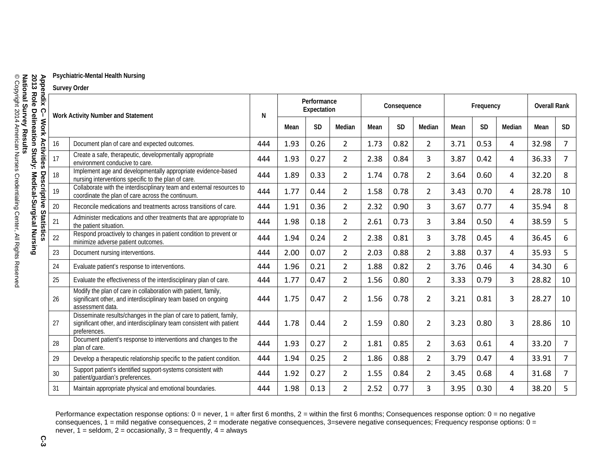|                 |                     | PSychiatric-Mental Health Nursing                                                                                                                            |     |                            |           |                |             |           |                |           |           |                |                     |                |
|-----------------|---------------------|--------------------------------------------------------------------------------------------------------------------------------------------------------------|-----|----------------------------|-----------|----------------|-------------|-----------|----------------|-----------|-----------|----------------|---------------------|----------------|
| ಕ್ಷ             | <b>Survey Order</b> |                                                                                                                                                              |     |                            |           |                |             |           |                |           |           |                |                     |                |
| -C xipus        |                     | Work Activity Number and Statement                                                                                                                           | N   | Performance<br>Expectation |           |                | Consequence |           |                | Frequency |           |                | <b>Overall Rank</b> |                |
| Work Activities |                     |                                                                                                                                                              |     | Mean                       | <b>SD</b> | Median         | Mean        | <b>SD</b> | Median         | Mean      | <b>SD</b> | Median         | Mean                | <b>SD</b>      |
|                 | 16                  | Document plan of care and expected outcomes.                                                                                                                 | 444 | 1.93                       | 0.26      | $\overline{2}$ | 1.73        | 0.82      | $\overline{2}$ | 3.71      | 0.53      | 4              | 32.98               | $\overline{7}$ |
|                 | 17                  | Create a safe, therapeutic, developmentally appropriate<br>environment conducive to care.                                                                    | 444 | 1.93                       | 0.27      | $\overline{2}$ | 2.38        | 0.84      | 3              | 3.87      | 0.42      | 4              | 36.33               | $\overline{7}$ |
|                 | 18                  | Implement age and developmentally appropriate evidence-based<br>nursing interventions specific to the plan of care.                                          | 444 | 1.89                       | 0.33      | $\overline{2}$ | 1.74        | 0.78      | $\overline{2}$ | 3.64      | 0.60      | 4              | 32.20               | 8              |
| Descriptive     | 19                  | Collaborate with the interdisciplinary team and external resources to<br>coordinate the plan of care across the continuum.                                   | 444 | 1.77                       | 0.44      | $\overline{2}$ | 1.58        | 0.78      | $\overline{2}$ | 3.43      | 0.70      | 4              | 28.78               | 10             |
|                 | $20\,$              | Reconcile medications and treatments across transitions of care.                                                                                             | 444 | 1.91                       | 0.36      | $\overline{2}$ | 2.32        | 0.90      | 3              | 3.67      | 0.77      | 4              | 35.94               | 8              |
| Statistics      | 21                  | Administer medications and other treatments that are appropriate to<br>the patient situation.                                                                | 444 | 1.98                       | 0.18      | $\overline{2}$ | 2.61        | 0.73      | 3              | 3.84      | 0.50      | 4              | 38.59               | 5              |
|                 | 22                  | Respond proactively to changes in patient condition to prevent or<br>minimize adverse patient outcomes.                                                      | 444 | 1.94                       | 0.24      | $\overline{2}$ | 2.38        | 0.81      | 3              | 3.78      | 0.45      | 4              | 36.45               | 6              |
|                 | 23                  | Document nursing interventions.                                                                                                                              | 444 | 2.00                       | 0.07      | $\overline{2}$ | 2.03        | 0.88      | $\overline{2}$ | 3.88      | 0.37      | 4              | 35.93               | 5              |
|                 | 24                  | Evaluate patient's response to interventions.                                                                                                                | 444 | 1.96                       | 0.21      | $\overline{2}$ | 1.88        | 0.82      | $\overline{2}$ | 3.76      | 0.46      | 4              | 34.30               | 6              |
|                 | 25                  | Evaluate the effectiveness of the interdisciplinary plan of care.                                                                                            | 444 | 1.77                       | 0.47      | $\overline{2}$ | 1.56        | 0.80      | $\overline{2}$ | 3.33      | 0.79      | $\overline{3}$ | 28.82               | 10             |
|                 | 26                  | Modify the plan of care in collaboration with patient, family,<br>significant other, and interdisciplinary team based on ongoing<br>assessment data.         | 444 | 1.75                       | 0.47      | $\overline{2}$ | 1.56        | 0.78      | $\overline{2}$ | 3.21      | 0.81      | 3              | 28.27               | 10             |
|                 | 27                  | Disseminate results/changes in the plan of care to patient, family,<br>significant other, and interdisciplinary team consistent with patient<br>preferences. | 444 | 1.78                       | 0.44      | $\overline{2}$ | 1.59        | 0.80      | $\overline{2}$ | 3.23      | 0.80      | 3              | 28.86               | 10             |
|                 | 28                  | Document patient's response to interventions and changes to the<br>plan of care.                                                                             | 444 | 1.93                       | 0.27      | $\overline{2}$ | 1.81        | 0.85      | $\overline{2}$ | 3.63      | 0.61      | 4              | 33.20               | $\overline{7}$ |
|                 | 29                  | Develop a therapeutic relationship specific to the patient condition.                                                                                        | 444 | 1.94                       | 0.25      | $\overline{2}$ | 1.86        | 0.88      | $\overline{2}$ | 3.79      | 0.47      | 4              | 33.91               | $\overline{7}$ |
|                 | 30                  | Support patient's identified support-systems consistent with<br>patient/guardian's preferences.                                                              | 444 | 1.92                       | 0.27      | $\overline{2}$ | 1.55        | 0.84      | $\overline{2}$ | 3.45      | 0.68      | 4              | 31.68               | $\overline{7}$ |
|                 | 31                  | Maintain appropriate physical and emotional boundaries.                                                                                                      | 444 | 1.98                       | 0.13      | $\overline{2}$ | 2.52        | 0.77      | 3              | 3.95      | 0.30      | 4              | 38.20               | 5              |

Performance expectation response options: 0 = never, 1 = after first 6 months, 2 = within the first 6 months; Consequences response option: 0 = no negative consequences, 1 = mild negative consequences, 2 = moderate negative consequences, 3=severe negative consequences; Frequency response options: 0 = never,  $1 =$  seldom,  $2 =$  occasionally,  $3 =$  frequently,  $4 =$  always

**Role Delineation Study: Medical-Surgical Nursing**

**2013**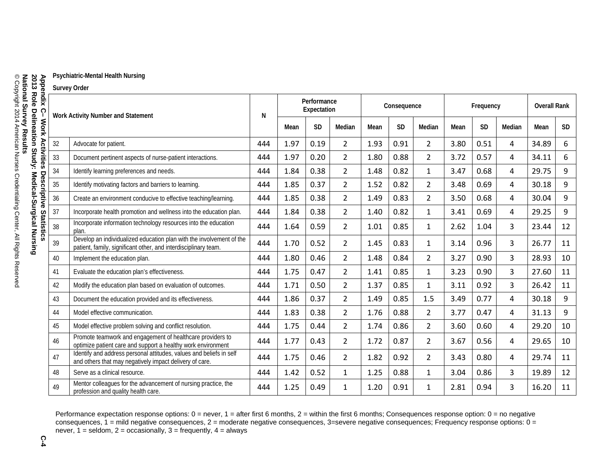## **Appendix Psychiatric-Mental Health Nursing**

**Survey Order**

| ndix<br>ႁ              |    | Work Activity Number and Statement                                                                                                      | N   | Performance<br>Expectation |           |                | Consequence |           |                | Frequency |           |                | <b>Overall Rank</b> |           |
|------------------------|----|-----------------------------------------------------------------------------------------------------------------------------------------|-----|----------------------------|-----------|----------------|-------------|-----------|----------------|-----------|-----------|----------------|---------------------|-----------|
| <b>Work Activities</b> |    |                                                                                                                                         |     | Mean                       | <b>SD</b> | Median         | Mean        | <b>SD</b> | Median         | Mean      | <b>SD</b> | Median         | Mean                | <b>SD</b> |
|                        | 32 | Advocate for patient.                                                                                                                   | 444 | 1.97                       | 0.19      | $\overline{2}$ | 1.93        | 0.91      | $\overline{2}$ | 3.80      | 0.51      | 4              | 34.89               | 6         |
|                        | 33 | Document pertinent aspects of nurse-patient interactions.                                                                               | 444 | 1.97                       | 0.20      | $\overline{2}$ | 1.80        | 0.88      | $\overline{2}$ | 3.72      | 0.57      | 4              | 34.11               | 6         |
|                        | 34 | Identify learning preferences and needs.                                                                                                | 444 | 1.84                       | 0.38      | $\overline{2}$ | 1.48        | 0.82      | $\mathbf{1}$   | 3.47      | 0.68      | 4              | 29.75               | 9         |
| Descriptive            | 35 | Identify motivating factors and barriers to learning.                                                                                   | 444 | 1.85                       | 0.37      | $\overline{2}$ | 1.52        | 0.82      | $\overline{2}$ | 3.48      | 0.69      | 4              | 30.18               | 9         |
|                        | 36 | Create an environment conducive to effective teaching/learning.                                                                         | 444 | 1.85                       | 0.38      | $\overline{2}$ | 1.49        | 0.83      | $\overline{2}$ | 3.50      | 0.68      | 4              | 30.04               | 9         |
|                        | 37 | Incorporate health promotion and wellness into the education plan.                                                                      | 444 | 1.84                       | 0.38      | $\overline{2}$ | 1.40        | 0.82      | $\mathbf{1}$   | 3.41      | 0.69      | 4              | 29.25               | 9         |
| Statistics             | 38 | Incorporate information technology resources into the education<br>plan.                                                                | 444 | 1.64                       | 0.59      | $\overline{2}$ | 1.01        | 0.85      | $\mathbf{1}$   | 2.62      | 1.04      | 3              | 23.44               | 12        |
|                        | 39 | Develop an individualized education plan with the involvement of the<br>patient, family, significant other, and interdisciplinary team. | 444 | 1.70                       | 0.52      | $\overline{2}$ | 1.45        | 0.83      | $\mathbf 1$    | 3.14      | 0.96      | 3              | 26.77               | 11        |
|                        | 40 | Implement the education plan.                                                                                                           | 444 | 1.80                       | 0.46      | $\overline{2}$ | 1.48        | 0.84      | $\overline{2}$ | 3.27      | 0.90      | $\overline{3}$ | 28.93               | 10        |
|                        | 41 | Evaluate the education plan's effectiveness.                                                                                            | 444 | 1.75                       | 0.47      | $\overline{2}$ | 1.41        | 0.85      | $\mathbf{1}$   | 3.23      | 0.90      | 3              | 27.60               | 11        |
|                        | 42 | Modify the education plan based on evaluation of outcomes.                                                                              | 444 | 1.71                       | 0.50      | $\overline{2}$ | 1.37        | 0.85      | $\mathbf 1$    | 3.11      | 0.92      | $\overline{3}$ | 26.42               | 11        |
|                        | 43 | Document the education provided and its effectiveness.                                                                                  | 444 | 1.86                       | 0.37      | $\overline{2}$ | 1.49        | 0.85      | 1.5            | 3.49      | 0.77      | 4              | 30.18               | 9         |
|                        | 44 | Model effective communication.                                                                                                          | 444 | 1.83                       | 0.38      | $\overline{2}$ | 1.76        | 0.88      | $\overline{2}$ | 3.77      | 0.47      | 4              | 31.13               | 9         |
|                        | 45 | Model effective problem solving and conflict resolution.                                                                                | 444 | 1.75                       | 0.44      | $\overline{2}$ | 1.74        | 0.86      | $\overline{2}$ | 3.60      | 0.60      | 4              | 29.20               | 10        |
|                        | 46 | Promote teamwork and engagement of healthcare providers to<br>optimize patient care and support a healthy work environment              | 444 | 1.77                       | 0.43      | $\overline{2}$ | 1.72        | 0.87      | $\overline{2}$ | 3.67      | 0.56      | 4              | 29.65               | 10        |
|                        | 47 | Identify and address personal attitudes, values and beliefs in self<br>and others that may negatively impact delivery of care.          | 444 | 1.75                       | 0.46      | $\overline{2}$ | 1.82        | 0.92      | $\overline{2}$ | 3.43      | 0.80      | 4              | 29.74               | 11        |
|                        | 48 | Serve as a clinical resource.                                                                                                           | 444 | 1.42                       | 0.52      | $\mathbf{1}$   | 1.25        | 0.88      | $\mathbf{1}$   | 3.04      | 0.86      | $\overline{3}$ | 19.89               | 12        |
|                        | 49 | Mentor colleagues for the advancement of nursing practice, the<br>profession and quality health care.                                   | 444 | 1.25                       | 0.49      | 1              | 1.20        | 0.91      | $\mathbf{1}$   | 2.81      | 0.94      | 3              | 16.20               | 11        |

Performance expectation response options: 0 = never, 1 = after first 6 months, 2 = within the first 6 months; Consequences response option: 0 = no negative consequences, 1 = mild negative consequences, 2 = moderate negative consequences, 3=severe negative consequences; Frequency response options: 0 = never,  $1 =$  seldom,  $2 =$  occasionally,  $3 =$  frequently,  $4 =$  always

© Copyright 2014 **National Survey Results** American Nurses Credentialing Center, All Rights Reserved

**Role Delineation Study: Medical-Surgical Nursing**

**2013**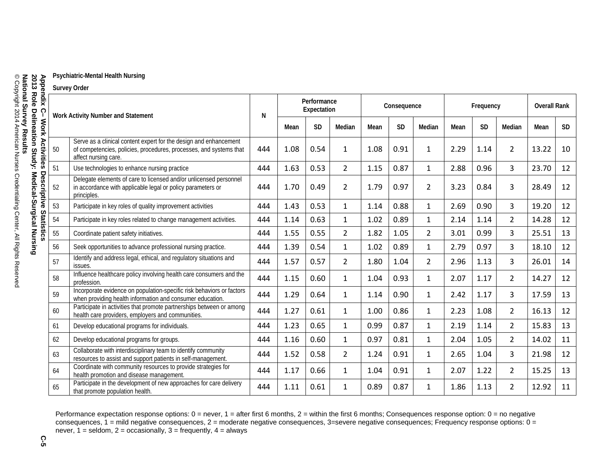| PSychiatric-Mental Health Nursing |    |                                                                                                                                                                 |     |      |                            |                |             |           |                |           |           |                |                     |           |
|-----------------------------------|----|-----------------------------------------------------------------------------------------------------------------------------------------------------------------|-----|------|----------------------------|----------------|-------------|-----------|----------------|-----------|-----------|----------------|---------------------|-----------|
| ಕ್ಷ                               |    | <b>Survey Order</b>                                                                                                                                             |     |      |                            |                |             |           |                |           |           |                |                     |           |
| -C xipus                          |    | Work Activity Number and Statement                                                                                                                              | N   |      | Performance<br>Expectation |                | Consequence |           |                | Frequency |           |                | <b>Overall Rank</b> |           |
|                                   |    |                                                                                                                                                                 |     | Mean | <b>SD</b>                  | Median         | Mean        | <b>SD</b> | Median         | Mean      | <b>SD</b> | Median         | Mean                | <b>SD</b> |
| <b>Work Activities</b>            | 50 | Serve as a clinical content expert for the design and enhancement<br>of competencies, policies, procedures, processes, and systems that<br>affect nursing care. | 444 | 1.08 | 0.54                       | $\mathbf 1$    | 1.08        | 0.91      | 1              | 2.29      | 1.14      | $\overline{2}$ | 13.22               | 10        |
|                                   | 51 | Use technologies to enhance nursing practice                                                                                                                    | 444 | 1.63 | 0.53                       | $\overline{2}$ | 1.15        | 0.87      | $\mathbf{1}$   | 2.88      | 0.96      | $\overline{3}$ | 23.70               | 12        |
| Descriptive                       | 52 | Delegate elements of care to licensed and/or unlicensed personnel<br>in accordance with applicable legal or policy parameters or<br>principles.                 | 444 | 1.70 | 0.49                       | $\overline{2}$ | 1.79        | 0.97      | $\overline{2}$ | 3.23      | 0.84      | 3              | 28.49               | 12        |
|                                   | 53 | Participate in key roles of quality improvement activities                                                                                                      | 444 | 1.43 | 0.53                       | $\mathbf{1}$   | 1.14        | 0.88      | $\mathbf 1$    | 2.69      | 0.90      | 3              | 19.20               | 12        |
|                                   | 54 | Participate in key roles related to change management activities.                                                                                               | 444 | 1.14 | 0.63                       | $\mathbf{1}$   | 1.02        | 0.89      | $\mathbf{1}$   | 2.14      | 1.14      | $\overline{2}$ | 14.28               | 12        |
| Statistics                        | 55 | Coordinate patient safety initiatives.                                                                                                                          | 444 | 1.55 | 0.55                       | $\overline{2}$ | 1.82        | 1.05      | $\overline{2}$ | 3.01      | 0.99      | 3              | 25.51               | 13        |
|                                   | 56 | Seek opportunities to advance professional nursing practice.                                                                                                    | 444 | 1.39 | 0.54                       | $\mathbf{1}$   | 1.02        | 0.89      | $\mathbf 1$    | 2.79      | 0.97      | $\overline{3}$ | 18.10               | 12        |
|                                   | 57 | Identify and address legal, ethical, and regulatory situations and<br>issues.                                                                                   | 444 | 1.57 | 0.57                       | $\overline{2}$ | 1.80        | 1.04      | $\overline{2}$ | 2.96      | 1.13      | $\overline{3}$ | 26.01               | 14        |
|                                   | 58 | Influence healthcare policy involving health care consumers and the<br>profession.                                                                              | 444 | 1.15 | 0.60                       | $\mathbf{1}$   | 1.04        | 0.93      | $\mathbf 1$    | 2.07      | 1.17      | $2^{\circ}$    | 14.27               | 12        |
|                                   | 59 | Incorporate evidence on population-specific risk behaviors or factors<br>when providing health information and consumer education.                              | 444 | 1.29 | 0.64                       | $\mathbf{1}$   | 1.14        | 0.90      | $\mathbf 1$    | 2.42      | 1.17      | 3              | 17.59               | 13        |
|                                   | 60 | Participate in activities that promote partnerships between or among<br>health care providers, employers and communities.                                       | 444 | 1.27 | 0.61                       | $\mathbf{1}$   | 1.00        | 0.86      | $\mathbf 1$    | 2.23      | 1.08      | $\overline{2}$ | 16.13               | 12        |
|                                   | 61 | Develop educational programs for individuals.                                                                                                                   | 444 | 1.23 | 0.65                       | $\mathbf{1}$   | 0.99        | 0.87      | $\mathbf 1$    | 2.19      | 1.14      | $\overline{2}$ | 15.83               | 13        |
|                                   | 62 | Develop educational programs for groups.                                                                                                                        | 444 | 1.16 | 0.60                       | $\mathbf{1}$   | 0.97        | 0.81      | $\mathbf{1}$   | 2.04      | 1.05      | $\overline{2}$ | 14.02               | 11        |
|                                   | 63 | Collaborate with interdisciplinary team to identify community<br>resources to assist and support patients in self-management.                                   | 444 | 1.52 | 0.58                       | $\overline{2}$ | 1.24        | 0.91      | $\mathbf 1$    | 2.65      | 1.04      | 3              | 21.98               | 12        |
|                                   | 64 | Coordinate with community resources to provide strategies for<br>health promotion and disease management.                                                       | 444 | 1.17 | 0.66                       | $\mathbf{1}$   | 1.04        | 0.91      | $\mathbf{1}$   | 2.07      | 1.22      | $2^{\circ}$    | 15.25               | 13        |
|                                   | 65 | Participate in the development of new approaches for care delivery<br>that promote population health.                                                           | 444 | 1.11 | 0.61                       | $\mathbf{1}$   | 0.89        | 0.87      | $\mathbf 1$    | 1.86      | 1.13      | $\overline{2}$ | 12.92               | 11        |

Performance expectation response options: 0 = never, 1 = after first 6 months, 2 = within the first 6 months; Consequences response option: 0 = no negative consequences, 1 = mild negative consequences, 2 = moderate negative consequences, 3=severe negative consequences; Frequency response options: 0 = never,  $1 =$  seldom,  $2 =$  occasionally,  $3 =$  frequently,  $4 =$  always

**Role Delineation Study: Medical-Surgical Nursing**

**2013**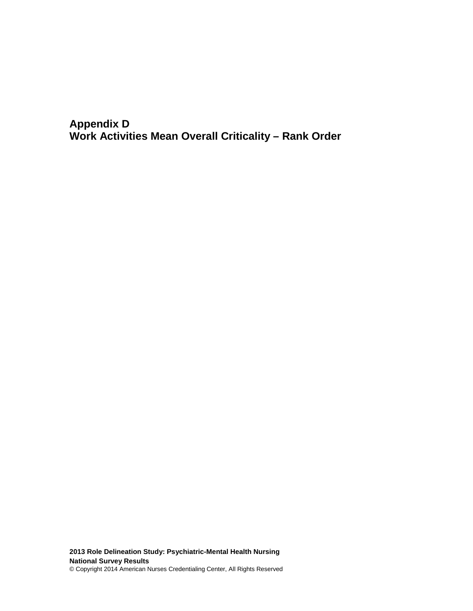**Appendix D Work Activities Mean Overall Criticality – Rank Order**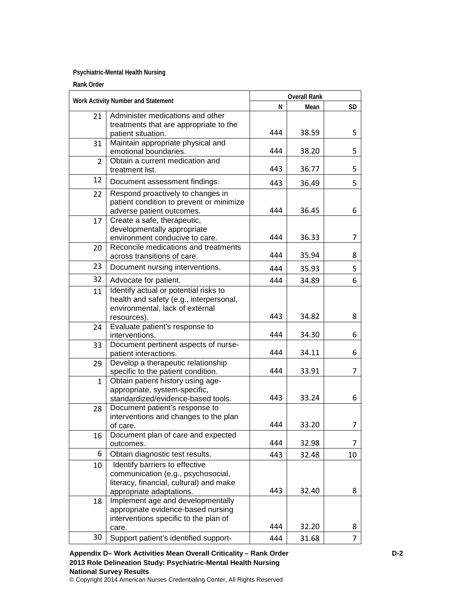**Rank Order**

| Work Activity Number and Statement |                                                                     |     | <b>Overall Rank</b> |                |
|------------------------------------|---------------------------------------------------------------------|-----|---------------------|----------------|
|                                    |                                                                     | N   | Mean                | <b>SD</b>      |
| 21                                 | Administer medications and other                                    |     |                     |                |
|                                    | treatments that are appropriate to the                              |     |                     |                |
|                                    | patient situation.                                                  | 444 | 38.59               | 5              |
| 31                                 | Maintain appropriate physical and<br>emotional boundaries.          | 444 | 38.20               | 5              |
| $\overline{2}$                     | Obtain a current medication and                                     |     |                     |                |
|                                    | treatment list.                                                     | 443 | 36.77               | 5              |
| 12                                 | Document assessment findings.                                       | 443 | 36.49               | 5              |
| 22                                 | Respond proactively to changes in                                   |     |                     |                |
|                                    | patient condition to prevent or minimize                            |     |                     |                |
|                                    | adverse patient outcomes.                                           | 444 | 36.45               | 6              |
| 17                                 | Create a safe, therapeutic,                                         |     |                     |                |
|                                    | developmentally appropriate                                         |     |                     |                |
|                                    | environment conducive to care.                                      | 444 | 36.33               | 7              |
| 20                                 | Reconcile medications and treatments<br>across transitions of care. | 444 | 35.94               | 8              |
| 23                                 | Document nursing interventions.                                     | 444 | 35.93               | 5              |
| 32                                 | Advocate for patient.                                               | 444 | 34.89               | 6              |
| 11                                 | Identify actual or potential risks to                               |     |                     |                |
|                                    | health and safety (e.g., interpersonal,                             |     |                     |                |
|                                    | environmental, lack of external                                     |     |                     |                |
|                                    | resources).                                                         | 443 | 34.82               | 8              |
| 24                                 | Evaluate patient's response to<br>interventions.                    | 444 | 34.30               | 6              |
| 33                                 | Document pertinent aspects of nurse-                                |     |                     |                |
|                                    | patient interactions.                                               | 444 | 34.11               | 6              |
| 29                                 | Develop a therapeutic relationship                                  |     |                     |                |
|                                    | specific to the patient condition.                                  | 444 | 33.91               | 7              |
| $\mathbf{1}$                       | Obtain patient history using age-                                   |     |                     |                |
|                                    | appropriate, system-specific,                                       |     |                     |                |
|                                    | standardized/evidence-based tools.                                  | 443 | 33.24               | 6              |
| 28                                 | Document patient's response to                                      |     |                     |                |
|                                    | interventions and changes to the plan<br>of care.                   | 444 | 33.20               | 7              |
| 16                                 | Document plan of care and expected                                  |     |                     |                |
|                                    | outcomes.                                                           | 444 | 32.98               | 7              |
| 6                                  | Obtain diagnostic test results.                                     | 443 | 32.48               | 10             |
| 10                                 | Identify barriers to effective                                      |     |                     |                |
|                                    | communication (e.g., psychosocial,                                  |     |                     |                |
|                                    | literacy, financial, cultural) and make                             | 443 |                     |                |
|                                    | appropriate adaptations.<br>Implement age and developmentally       |     | 32.40               | 8              |
| 18                                 | appropriate evidence-based nursing                                  |     |                     |                |
|                                    | interventions specific to the plan of                               |     |                     |                |
|                                    | care.                                                               | 444 | 32.20               | 8              |
| 30                                 | Support patient's identified support-                               | 444 | 31.68               | $\overline{7}$ |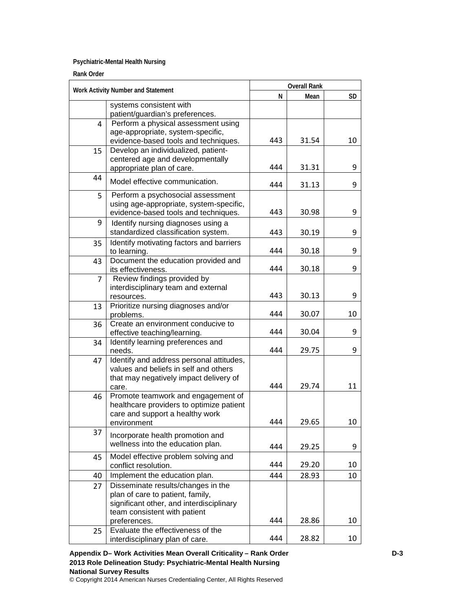**Rank Order**

|                | Work Activity Number and Statement                                                |     | <b>Overall Rank</b> |           |
|----------------|-----------------------------------------------------------------------------------|-----|---------------------|-----------|
|                |                                                                                   | N   | Mean                | <b>SD</b> |
|                | systems consistent with                                                           |     |                     |           |
|                | patient/guardian's preferences.                                                   |     |                     |           |
| 4              | Perform a physical assessment using                                               |     |                     |           |
|                | age-appropriate, system-specific,<br>evidence-based tools and techniques.         | 443 | 31.54               | 10        |
|                | Develop an individualized, patient-                                               |     |                     |           |
| 15             | centered age and developmentally                                                  |     |                     |           |
|                | appropriate plan of care.                                                         | 444 | 31.31               | 9         |
| 44             |                                                                                   |     |                     |           |
|                | Model effective communication.                                                    | 444 | 31.13               | 9         |
| 5              | Perform a psychosocial assessment                                                 |     |                     |           |
|                | using age-appropriate, system-specific,                                           |     |                     |           |
|                | evidence-based tools and techniques.                                              | 443 | 30.98               | 9         |
| 9              | Identify nursing diagnoses using a                                                |     |                     |           |
|                | standardized classification system.                                               | 443 | 30.19               | 9         |
| 35             | Identify motivating factors and barriers                                          |     |                     |           |
|                | to learning.                                                                      | 444 | 30.18               | 9         |
| 43             | Document the education provided and<br>its effectiveness.                         | 444 | 30.18               | 9         |
| $\overline{7}$ | Review findings provided by                                                       |     |                     |           |
|                | interdisciplinary team and external                                               |     |                     |           |
|                | resources.                                                                        | 443 | 30.13               | 9         |
| 13             | Prioritize nursing diagnoses and/or                                               |     |                     |           |
|                | problems.                                                                         | 444 | 30.07               | 10        |
| 36             | Create an environment conducive to                                                |     |                     |           |
|                | effective teaching/learning.                                                      | 444 | 30.04               | 9         |
| 34             | Identify learning preferences and                                                 | 444 |                     |           |
|                | needs.                                                                            |     | 29.75               | 9         |
| 47             | Identify and address personal attitudes,<br>values and beliefs in self and others |     |                     |           |
|                | that may negatively impact delivery of                                            |     |                     |           |
|                | care.                                                                             | 444 | 29.74               | 11        |
| 46             | Promote teamwork and engagement of                                                |     |                     |           |
|                | healthcare providers to optimize patient                                          |     |                     |           |
|                | care and support a healthy work                                                   |     |                     |           |
|                | environment                                                                       | 444 | 29.65               | 10        |
| 37             | Incorporate health promotion and                                                  |     |                     |           |
|                | wellness into the education plan.                                                 | 444 | 29.25               | 9         |
| 45             | Model effective problem solving and                                               |     |                     |           |
|                | conflict resolution.                                                              | 444 | 29.20               | 10        |
| 40             | Implement the education plan.                                                     | 444 | 28.93               | 10        |
| 27             | Disseminate results/changes in the                                                |     |                     |           |
|                | plan of care to patient, family,                                                  |     |                     |           |
|                | significant other, and interdisciplinary                                          |     |                     |           |
|                | team consistent with patient                                                      |     |                     |           |
|                | preferences.                                                                      | 444 | 28.86               | 10        |
| 25             | Evaluate the effectiveness of the                                                 |     |                     |           |
|                | interdisciplinary plan of care.                                                   | 444 | 28.82               | 10        |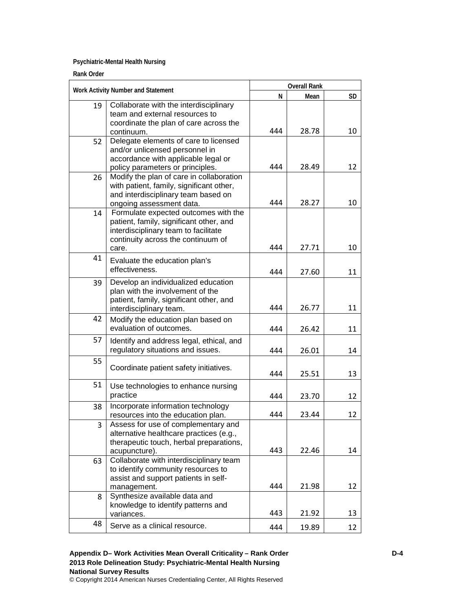**Rank Order**

|    |                                                                                                                                                                        |     | <b>Overall Rank</b> |          |  |  |  |  |  |
|----|------------------------------------------------------------------------------------------------------------------------------------------------------------------------|-----|---------------------|----------|--|--|--|--|--|
|    | Work Activity Number and Statement                                                                                                                                     | N   | Mean                | SD       |  |  |  |  |  |
| 19 | Collaborate with the interdisciplinary<br>team and external resources to<br>coordinate the plan of care across the                                                     |     |                     |          |  |  |  |  |  |
|    | continuum.                                                                                                                                                             | 444 | 28.78               | 10       |  |  |  |  |  |
| 52 | Delegate elements of care to licensed<br>and/or unlicensed personnel in<br>accordance with applicable legal or<br>policy parameters or principles.                     | 444 | 28.49               | 12       |  |  |  |  |  |
| 26 | Modify the plan of care in collaboration<br>with patient, family, significant other,<br>and interdisciplinary team based on<br>ongoing assessment data.                | 444 | 28.27               | 10       |  |  |  |  |  |
| 14 | Formulate expected outcomes with the<br>patient, family, significant other, and<br>interdisciplinary team to facilitate<br>continuity across the continuum of<br>care. | 444 | 27.71               | 10       |  |  |  |  |  |
| 41 | Evaluate the education plan's<br>effectiveness.                                                                                                                        | 444 | 27.60               | 11       |  |  |  |  |  |
| 39 | Develop an individualized education<br>plan with the involvement of the<br>patient, family, significant other, and<br>interdisciplinary team.                          | 444 | 26.77               | 11       |  |  |  |  |  |
| 42 | Modify the education plan based on<br>evaluation of outcomes.                                                                                                          | 444 | 26.42               | 11       |  |  |  |  |  |
| 57 | Identify and address legal, ethical, and<br>regulatory situations and issues.                                                                                          | 444 | 26.01               | 14       |  |  |  |  |  |
| 55 | Coordinate patient safety initiatives.                                                                                                                                 | 444 | 25.51               | 13       |  |  |  |  |  |
| 51 | Use technologies to enhance nursing<br>practice                                                                                                                        | 444 | 23.70               | 12       |  |  |  |  |  |
| 38 | Incorporate information technology<br>resources into the education plan.                                                                                               | 444 | 23.44               | 12       |  |  |  |  |  |
| 3  | Assess for use of complementary and<br>alternative healthcare practices (e.g.,<br>therapeutic touch, herbal preparations,<br>acupuncture).                             | 443 | 22.46               | 14       |  |  |  |  |  |
| 63 | Collaborate with interdisciplinary team<br>to identify community resources to<br>assist and support patients in self-<br>management.                                   | 444 | 21.98               | 12       |  |  |  |  |  |
| 8  | Synthesize available data and<br>knowledge to identify patterns and                                                                                                    | 443 |                     |          |  |  |  |  |  |
| 48 | variances.<br>Serve as a clinical resource.                                                                                                                            | 444 | 21.92<br>19.89      | 13<br>12 |  |  |  |  |  |
|    |                                                                                                                                                                        |     |                     |          |  |  |  |  |  |

## **Appendix D– Work Activities Mean Overall Criticality – Rank Order D-4 2013 Role Delineation Study: Psychiatric-Mental Health Nursing National Survey Results** © Copyright 2014 American Nurses Credentialing Center, All Rights Reserved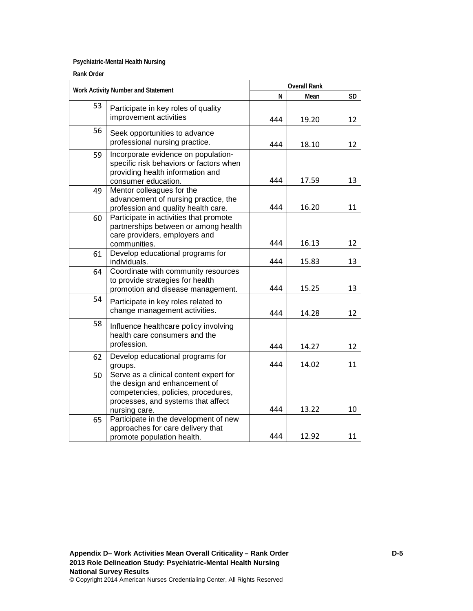**Rank Order**

|    | Work Activity Number and Statement                                                                                                                   |     | <b>Overall Rank</b> |    |
|----|------------------------------------------------------------------------------------------------------------------------------------------------------|-----|---------------------|----|
|    |                                                                                                                                                      | N   | Mean                | SD |
| 53 | Participate in key roles of quality<br>improvement activities                                                                                        |     |                     |    |
|    |                                                                                                                                                      | 444 | 19.20               | 12 |
| 56 | Seek opportunities to advance                                                                                                                        |     |                     |    |
|    | professional nursing practice.                                                                                                                       | 444 | 18.10               | 12 |
| 59 | Incorporate evidence on population-<br>specific risk behaviors or factors when<br>providing health information and                                   |     |                     |    |
|    | consumer education.                                                                                                                                  | 444 | 17.59               | 13 |
| 49 | Mentor colleagues for the<br>advancement of nursing practice, the<br>profession and quality health care.                                             | 444 | 16.20               | 11 |
| 60 | Participate in activities that promote<br>partnerships between or among health<br>care providers, employers and                                      |     |                     |    |
|    | communities.                                                                                                                                         | 444 | 16.13               | 12 |
| 61 | Develop educational programs for<br>individuals.                                                                                                     | 444 | 15.83               | 13 |
| 64 | Coordinate with community resources<br>to provide strategies for health                                                                              |     |                     |    |
|    | promotion and disease management.                                                                                                                    | 444 | 15.25               | 13 |
| 54 | Participate in key roles related to<br>change management activities.                                                                                 | 444 | 14.28               | 12 |
| 58 | Influence healthcare policy involving<br>health care consumers and the                                                                               |     |                     |    |
|    | profession.                                                                                                                                          | 444 | 14.27               | 12 |
| 62 | Develop educational programs for<br>groups.                                                                                                          | 444 | 14.02               | 11 |
| 50 | Serve as a clinical content expert for<br>the design and enhancement of<br>competencies, policies, procedures,<br>processes, and systems that affect |     |                     |    |
|    | nursing care.                                                                                                                                        | 444 | 13.22               | 10 |
| 65 | Participate in the development of new<br>approaches for care delivery that<br>promote population health.                                             | 444 | 12.92               | 11 |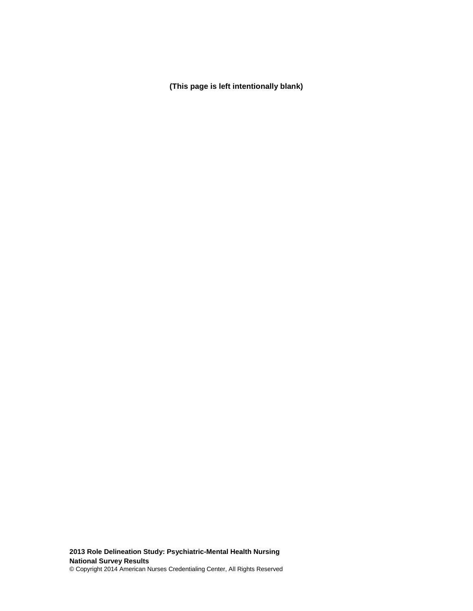**(This page is left intentionally blank)**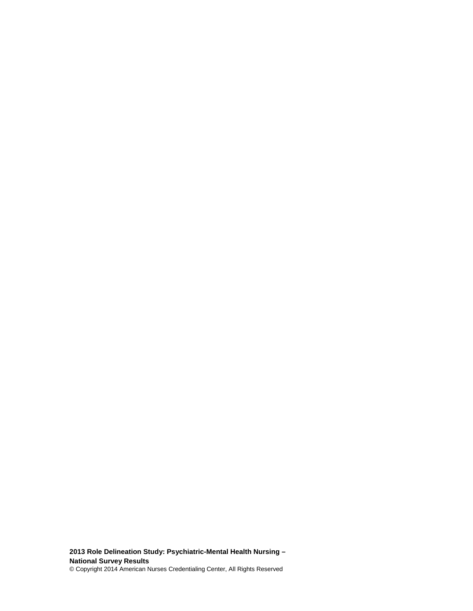**2013 Role Delineation Study: Psychiatric-Mental Health Nursing – National Survey Results**<br>
© Copyright 2014 American Nurses Credentialing Center, All Rights Reserved